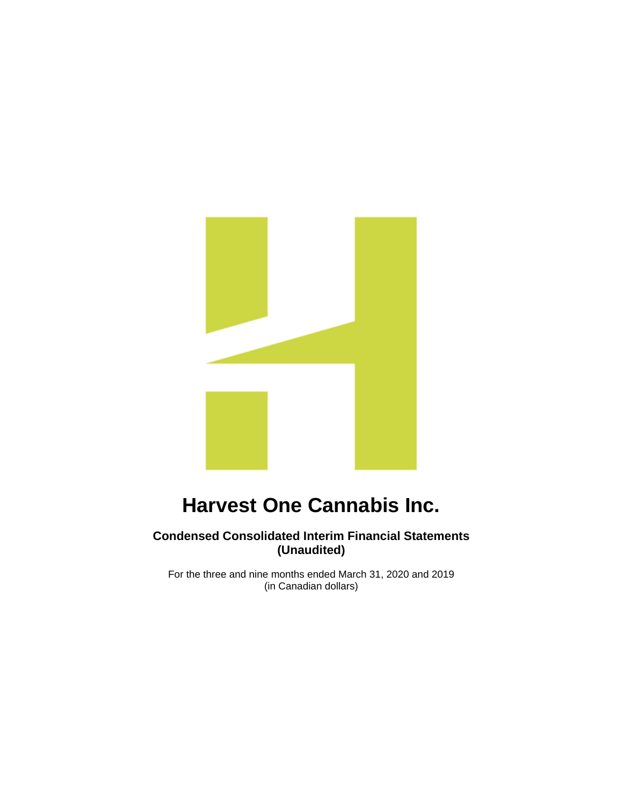

# **Condensed Consolidated Interim Financial Statements (Unaudited)**

For the three and nine months ended March 31, 2020 and 2019 (in Canadian dollars)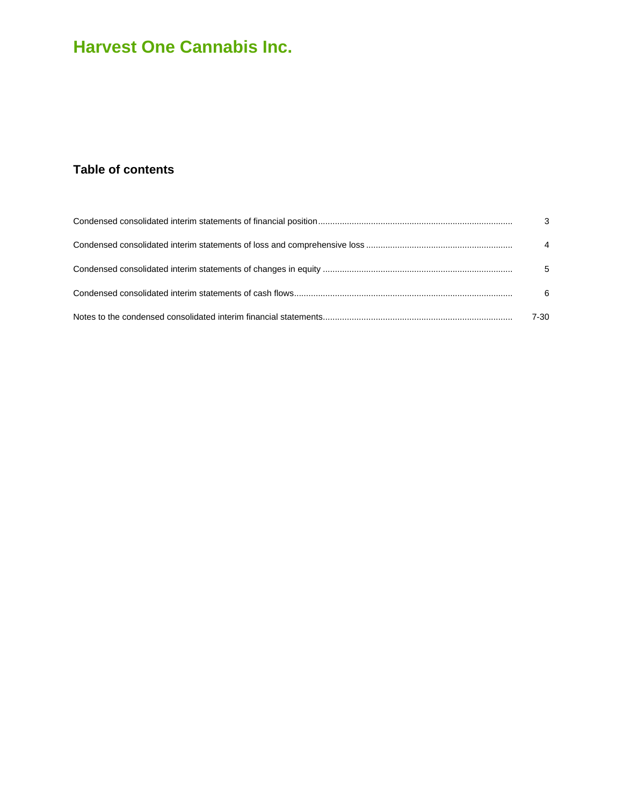# **Table of contents**

| $\mathbf{3}$   |
|----------------|
| $\overline{4}$ |
| 5              |
| 6              |
| $7 - 30$       |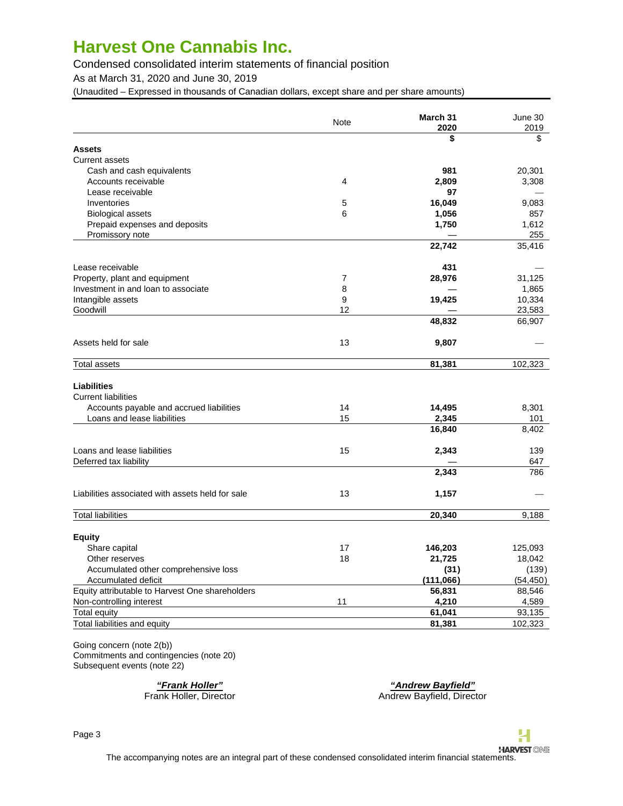Condensed consolidated interim statements of financial position

As at March 31, 2020 and June 30, 2019

(Unaudited – Expressed in thousands of Canadian dollars, except share and per share amounts)

|                                                        | Note           | March 31<br>2020 | June 30<br>2019 |
|--------------------------------------------------------|----------------|------------------|-----------------|
|                                                        |                | \$               | \$              |
| <b>Assets</b>                                          |                |                  |                 |
| <b>Current assets</b>                                  |                |                  |                 |
| Cash and cash equivalents                              |                | 981              | 20,301          |
| Accounts receivable                                    | $\overline{4}$ | 2,809            | 3,308           |
| Lease receivable                                       |                | 97               |                 |
| Inventories                                            | 5              | 16,049           | 9,083           |
| <b>Biological assets</b>                               | 6              | 1,056            | 857             |
| Prepaid expenses and deposits                          |                | 1,750            | 1,612           |
| Promissory note                                        |                |                  | 255             |
|                                                        |                | 22,742           | 35,416          |
| Lease receivable                                       |                | 431              |                 |
| Property, plant and equipment                          | 7              | 28,976           | 31,125          |
| Investment in and loan to associate                    | 8              |                  | 1,865           |
| Intangible assets                                      | 9              | 19,425           | 10,334          |
| Goodwill                                               | 12             |                  | 23,583          |
|                                                        |                | 48,832           | 66,907          |
| Assets held for sale                                   | 13             | 9,807            |                 |
| <b>Total assets</b>                                    |                | 81,381           | 102,323         |
|                                                        |                |                  |                 |
| <b>Liabilities</b>                                     |                |                  |                 |
| <b>Current liabilities</b>                             |                |                  |                 |
| Accounts payable and accrued liabilities               | 14             | 14,495           | 8,301           |
| Loans and lease liabilities                            | 15             | 2,345            | 101             |
|                                                        |                | 16,840           | 8,402           |
| Loans and lease liabilities                            | 15             | 2,343            | 139             |
| Deferred tax liability                                 |                |                  | 647             |
|                                                        |                | 2,343            | 786             |
| Liabilities associated with assets held for sale       | 13             | 1,157            |                 |
| <b>Total liabilities</b>                               |                | 20,340           | 9,188           |
| <b>Equity</b>                                          |                |                  |                 |
| Share capital                                          | 17             | 146,203          | 125,093         |
|                                                        | 18             | 21,725           | 18,042          |
| Other reserves<br>Accumulated other comprehensive loss |                | (31)             | (139)           |
| Accumulated deficit                                    |                | (111,066)        | (54, 450)       |
|                                                        |                | 56,831           | 88,546          |
| Equity attributable to Harvest One shareholders        |                |                  |                 |
| Non-controlling interest                               | 11             | 4,210            | 4,589           |
| Total equity                                           |                | 61,041           | 93,135          |
| Total liabilities and equity                           |                | 81,381           | 102,323         |

Going concern (note 2(b)) Commitments and contingencies (note 20) Subsequent events (note 22)

**"Frank Holler" "Andrew Bayfield"** Frank Holler, Director **Andrew Bayfield, Director** Andrew Bayfield, Director

Н

Page 3

**HARVEST ONE** The accompanying notes are an integral part of these condensed consolidated interim financial statements.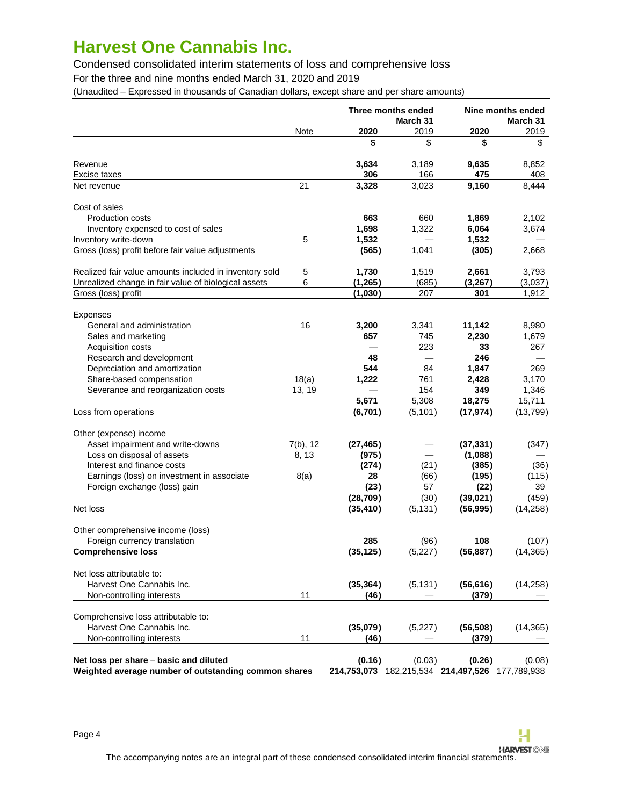Condensed consolidated interim statements of loss and comprehensive loss

For the three and nine months ended March 31, 2020 and 2019

(Unaudited – Expressed in thousands of Canadian dollars, except share and per share amounts)

|                                                                                                |             |           | Three months ended<br>March 31 |                                                           | Nine months ended<br>March 31 |
|------------------------------------------------------------------------------------------------|-------------|-----------|--------------------------------|-----------------------------------------------------------|-------------------------------|
|                                                                                                | Note        | 2020      | 2019                           | 2020                                                      | 2019                          |
|                                                                                                |             | \$        | \$                             | \$                                                        | \$                            |
| Revenue                                                                                        |             | 3,634     | 3,189                          | 9,635                                                     | 8,852                         |
| Excise taxes                                                                                   |             | 306       | 166                            | 475                                                       | 408                           |
| Net revenue                                                                                    | 21          | 3,328     | 3,023                          | 9,160                                                     | 8,444                         |
| Cost of sales                                                                                  |             |           |                                |                                                           |                               |
| Production costs                                                                               |             | 663       | 660                            | 1,869                                                     | 2,102                         |
| Inventory expensed to cost of sales                                                            |             | 1,698     | 1,322                          | 6,064                                                     | 3,674                         |
| Inventory write-down                                                                           | 5           | 1,532     |                                | 1,532                                                     |                               |
| Gross (loss) profit before fair value adjustments                                              |             | (565)     | 1,041                          | (305)                                                     | 2,668                         |
| Realized fair value amounts included in inventory sold                                         | 5           | 1,730     | 1,519                          | 2,661                                                     | 3,793                         |
| Unrealized change in fair value of biological assets                                           | 6           | (1, 265)  | (685)                          | (3, 267)                                                  | (3,037)                       |
| Gross (loss) profit                                                                            |             | (1,030)   | 207                            | 301                                                       | 1,912                         |
| <b>Expenses</b>                                                                                |             |           |                                |                                                           |                               |
| General and administration                                                                     | 16          | 3,200     | 3,341                          | 11,142                                                    | 8,980                         |
| Sales and marketing                                                                            |             | 657       | 745                            | 2,230                                                     | 1,679                         |
| <b>Acquisition costs</b>                                                                       |             |           | 223                            | 33                                                        | 267                           |
| Research and development                                                                       |             | 48        | $\overline{\phantom{0}}$       | 246                                                       |                               |
| Depreciation and amortization                                                                  |             | 544       | 84                             | 1,847                                                     | 269                           |
| Share-based compensation                                                                       | 18(a)       | 1,222     | 761                            | 2,428                                                     | 3,170                         |
| Severance and reorganization costs                                                             | 13, 19      |           | 154                            | 349                                                       | 1,346                         |
|                                                                                                |             | 5,671     | 5,308                          | 18,275                                                    | 15,711                        |
| Loss from operations                                                                           |             | (6,701)   | (5, 101)                       | (17, 974)                                                 | (13, 799)                     |
| Other (expense) income                                                                         |             |           |                                |                                                           |                               |
| Asset impairment and write-downs                                                               | $7(b)$ , 12 | (27, 465) |                                | (37, 331)                                                 | (347)                         |
| Loss on disposal of assets                                                                     | 8, 13       | (975)     |                                | (1,088)                                                   |                               |
| Interest and finance costs                                                                     |             | (274)     | (21)                           | (385)                                                     | (36)                          |
| Earnings (loss) on investment in associate                                                     | 8(a)        | 28        | (66)                           | (195)                                                     | (115)                         |
| Foreign exchange (loss) gain                                                                   |             | (23)      | 57                             | (22)                                                      | 39                            |
|                                                                                                |             | (28, 709) | (30)                           | (39,021)                                                  | (459)                         |
| Net loss                                                                                       |             | (35, 410) | (5, 131)                       | (56, 995)                                                 | (14, 258)                     |
| Other comprehensive income (loss)                                                              |             |           |                                |                                                           |                               |
| Foreign currency translation                                                                   |             | 285       | (96)                           | 108                                                       | (107)                         |
| <b>Comprehensive loss</b>                                                                      |             | (35, 125) | (5,227)                        | (56, 887)                                                 | (14, 365)                     |
| Net loss attributable to:                                                                      |             |           |                                |                                                           |                               |
| Harvest One Cannabis Inc.                                                                      |             | (35, 364) | (5, 131)                       | (56, 616)                                                 | (14,258)                      |
| Non-controlling interests                                                                      | 11          | (46)      |                                | (379)                                                     |                               |
| Comprehensive loss attributable to:                                                            |             |           |                                |                                                           |                               |
| Harvest One Cannabis Inc.                                                                      |             | (35,079)  | (5,227)                        | (56, 508)                                                 | (14, 365)                     |
| Non-controlling interests                                                                      | 11          | (46)      |                                | (379)                                                     |                               |
| Net loss per share – basic and diluted<br>Weighted average number of outstanding common shares |             | (0.16)    | (0.03)                         | (0.26)<br>214,753,073 182,215,534 214,497,526 177,789,938 | (0.08)                        |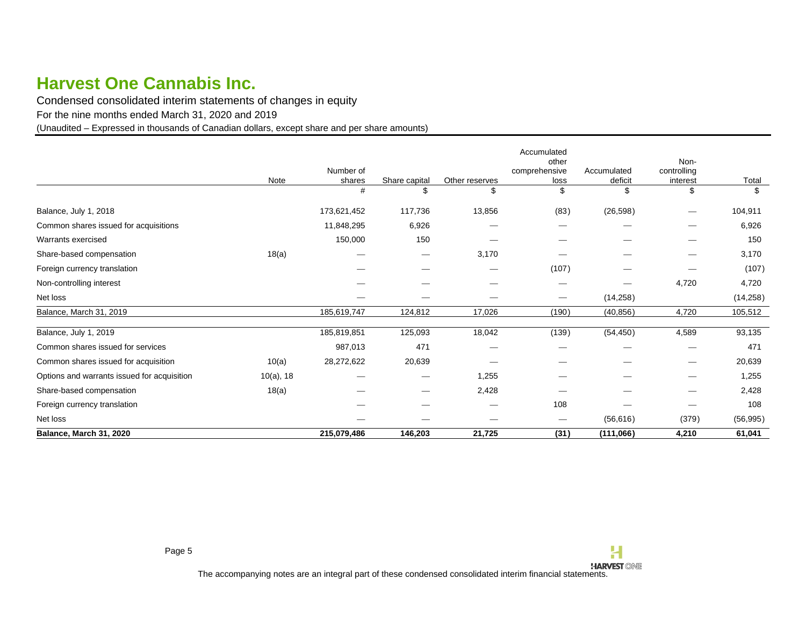Condensed consolidated interim statements of changes in equity

For the nine months ended March 31, 2020 and 2019

(Unaudited – Expressed in thousands of Canadian dollars, except share and per share amounts)

<span id="page-4-0"></span>

|                                             | Note         | Number of<br>shares | Share capital | Other reserves | Accumulated<br>other<br>comprehensive<br>loss | Accumulated<br>deficit | Non-<br>controlling<br>interest | Total     |
|---------------------------------------------|--------------|---------------------|---------------|----------------|-----------------------------------------------|------------------------|---------------------------------|-----------|
|                                             |              | #                   | \$            | \$             | \$                                            | \$                     | \$                              | \$        |
| Balance, July 1, 2018                       |              | 173,621,452         | 117,736       | 13,856         | (83)                                          | (26, 598)              |                                 | 104,911   |
| Common shares issued for acquisitions       |              | 11,848,295          | 6,926         |                |                                               |                        |                                 | 6,926     |
| Warrants exercised                          |              | 150,000             | 150           |                |                                               |                        |                                 | 150       |
| Share-based compensation                    | 18(a)        |                     |               | 3,170          |                                               |                        |                                 | 3,170     |
| Foreign currency translation                |              |                     |               |                | (107)                                         |                        |                                 | (107)     |
| Non-controlling interest                    |              |                     |               |                | $\overbrace{\hspace{25mm}}^{}$                |                        | 4,720                           | 4,720     |
| Net loss                                    |              |                     |               |                | $\hspace{0.05cm}$                             | (14, 258)              |                                 | (14, 258) |
| Balance, March 31, 2019                     |              | 185,619,747         | 124,812       | 17,026         | (190)                                         | (40, 856)              | 4,720                           | 105,512   |
| Balance, July 1, 2019                       |              | 185,819,851         | 125,093       | 18,042         | (139)                                         | (54, 450)              | 4,589                           | 93,135    |
| Common shares issued for services           |              | 987,013             | 471           |                |                                               |                        |                                 | 471       |
| Common shares issued for acquisition        | 10(a)        | 28,272,622          | 20,639        |                |                                               |                        |                                 | 20,639    |
| Options and warrants issued for acquisition | $10(a)$ , 18 |                     |               | 1,255          |                                               |                        |                                 | 1,255     |
| Share-based compensation                    | 18(a)        |                     |               | 2,428          |                                               |                        |                                 | 2,428     |
| Foreign currency translation                |              |                     |               |                | 108                                           |                        |                                 | 108       |
| Net loss                                    |              |                     |               |                | $\hspace{0.1mm}-\hspace{0.1mm}$               | (56, 616)              | (379)                           | (56, 995) |
| Balance, March 31, 2020                     |              | 215,079,486         | 146,203       | 21,725         | (31)                                          | (111,066)              | 4,210                           | 61,041    |

H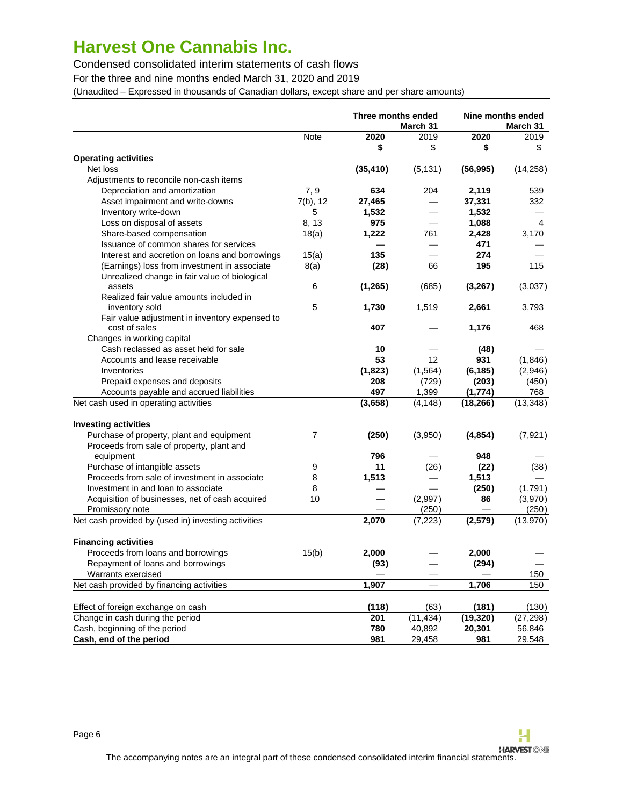Condensed consolidated interim statements of cash flows

For the three and nine months ended March 31, 2020 and 2019

(Unaudited – Expressed in thousands of Canadian dollars, except share and per share amounts)

|                                                     |          | Three months ended<br>March 31 |                 |           | Nine months ended<br>March 31 |
|-----------------------------------------------------|----------|--------------------------------|-----------------|-----------|-------------------------------|
|                                                     | Note     | 2020                           | 2019            | 2020      | 2019                          |
|                                                     |          | \$                             | \$              | \$        | \$                            |
| <b>Operating activities</b>                         |          |                                |                 |           |                               |
| Net loss                                            |          | (35, 410)                      | (5, 131)        | (56, 995) | (14,258)                      |
| Adjustments to reconcile non-cash items             |          |                                |                 |           |                               |
| Depreciation and amortization                       | 7, 9     | 634                            | 204             | 2,119     | 539                           |
| Asset impairment and write-downs                    | 7(b), 12 | 27,465                         |                 | 37,331    | 332                           |
| Inventory write-down                                | 5        | 1,532                          |                 | 1,532     |                               |
| Loss on disposal of assets                          | 8, 13    | 975                            |                 | 1,088     | 4                             |
| Share-based compensation                            | 18(a)    | 1,222                          | 761             | 2,428     | 3,170                         |
| Issuance of common shares for services              |          |                                |                 | 471       |                               |
| Interest and accretion on loans and borrowings      | 15(a)    | 135                            |                 | 274       |                               |
| (Earnings) loss from investment in associate        | 8(a)     | (28)                           | 66              | 195       | 115                           |
| Unrealized change in fair value of biological       |          |                                |                 |           |                               |
| assets                                              | 6        | (1,265)                        | (685)           | (3,267)   | (3,037)                       |
| Realized fair value amounts included in             |          |                                |                 |           |                               |
| inventory sold                                      | 5        | 1,730                          | 1,519           | 2,661     | 3,793                         |
| Fair value adjustment in inventory expensed to      |          |                                |                 |           |                               |
| cost of sales                                       |          | 407                            |                 | 1,176     | 468                           |
| Changes in working capital                          |          |                                |                 |           |                               |
| Cash reclassed as asset held for sale               |          | 10                             |                 | (48)      |                               |
| Accounts and lease receivable                       |          | 53                             | 12 <sup>2</sup> | 931       | (1,846)                       |
| Inventories                                         |          | (1,823)                        | (1,564)         | (6, 185)  | (2,946)                       |
| Prepaid expenses and deposits                       |          | 208                            | (729)           | (203)     | (450)                         |
| Accounts payable and accrued liabilities            |          | 497                            | 1,399           | (1,774)   | 768                           |
| Net cash used in operating activities               |          | (3,658)                        | (4, 148)        | (18, 266) | (13, 348)                     |
|                                                     |          |                                |                 |           |                               |
| <b>Investing activities</b>                         |          |                                |                 |           |                               |
| Purchase of property, plant and equipment           | 7        | (250)                          | (3,950)         | (4,854)   | (7, 921)                      |
| Proceeds from sale of property, plant and           |          |                                |                 |           |                               |
| equipment                                           |          | 796                            |                 | 948       |                               |
| Purchase of intangible assets                       | 9        | 11                             | (26)            | (22)      | (38)                          |
| Proceeds from sale of investment in associate       | 8        | 1,513                          |                 | 1,513     |                               |
| Investment in and loan to associate                 | 8        |                                |                 | (250)     | (1,791)                       |
| Acquisition of businesses, net of cash acquired     | 10       |                                | (2,997)         | 86        | (3,970)                       |
| Promissory note                                     |          |                                | (250)           |           | (250)                         |
| Net cash provided by (used in) investing activities |          | 2,070                          | (7, 223)        | (2,579)   | (13, 970)                     |
|                                                     |          |                                |                 |           |                               |
| <b>Financing activities</b>                         |          |                                |                 |           |                               |
| Proceeds from loans and borrowings                  | 15(b)    | 2,000                          |                 | 2,000     |                               |
| Repayment of loans and borrowings                   |          | (93)                           |                 | (294)     |                               |
| Warrants exercised                                  |          |                                |                 |           | 150                           |
| Net cash provided by financing activities           |          | 1,907                          |                 | 1,706     | 150                           |
| Effect of foreign exchange on cash                  |          | (118)                          | (63)            | (181)     | (130)                         |
| Change in cash during the period                    |          | 201                            | (11, 434)       | (19, 320) | (27, 298)                     |
| Cash, beginning of the period                       |          | 780                            | 40,892          | 20,301    | 56,846                        |
| Cash, end of the period                             |          | 981                            | 29,458          | 981       | 29,548                        |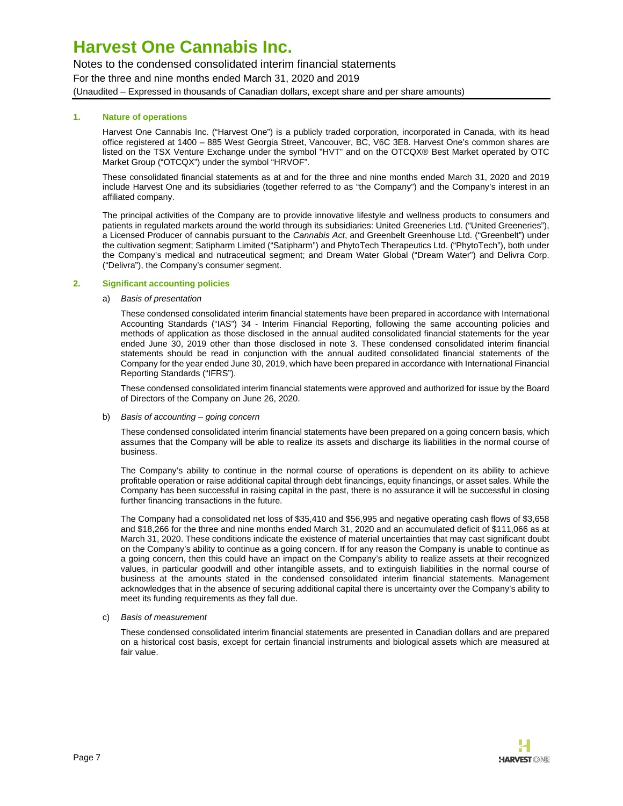Notes to the condensed consolidated interim financial statements For the three and nine months ended March 31, 2020 and 2019 (Unaudited – Expressed in thousands of Canadian dollars, except share and per share amounts)

### **1. Nature of operations**

<span id="page-6-0"></span>Harvest One Cannabis Inc. ("Harvest One") is a publicly traded corporation, incorporated in Canada, with its head office registered at 1400 – 885 West Georgia Street, Vancouver, BC, V6C 3E8. Harvest One's common shares are listed on the TSX Venture Exchange under the symbol "HVT" and on the OTCQX® Best Market operated by OTC Market Group ("OTCQX") under the symbol "HRVOF".

These consolidated financial statements as at and for the three and nine months ended March 31, 2020 and 2019 include Harvest One and its subsidiaries (together referred to as "the Company") and the Company's interest in an affiliated company.

The principal activities of the Company are to provide innovative lifestyle and wellness products to consumers and patients in regulated markets around the world through its subsidiaries: United Greeneries Ltd. ("United Greeneries"), a Licensed Producer of cannabis pursuant to the Cannabis Act, and Greenbelt Greenhouse Ltd. ("Greenbelt") under the cultivation segment; Satipharm Limited ("Satipharm") and PhytoTech Therapeutics Ltd. ("PhytoTech"), both under the Company's medical and nutraceutical segment; and Dream Water Global ("Dream Water") and Delivra Corp. ("Delivra"), the Company's consumer segment.

#### **2. Significant accounting policies**

#### a) Basis of presentation

These condensed consolidated interim financial statements have been prepared in accordance with International Accounting Standards ("IAS") 34 - Interim Financial Reporting, following the same accounting policies and methods of application as those disclosed in the annual audited consolidated financial statements for the year ended June 30, 2019 other than those disclosed in note 3. These condensed consolidated interim financial statements should be read in conjunction with the annual audited consolidated financial statements of the Company for the year ended June 30, 2019, which have been prepared in accordance with International Financial Reporting Standards ("IFRS").

These condensed consolidated interim financial statements were approved and authorized for issue by the Board of Directors of the Company on June 26, 2020.

#### b) Basis of accounting - going concern

These condensed consolidated interim financial statements have been prepared on a going concern basis, which assumes that the Company will be able to realize its assets and discharge its liabilities in the normal course of business.

The Company's ability to continue in the normal course of operations is dependent on its ability to achieve profitable operation or raise additional capital through debt financings, equity financings, or asset sales. While the Company has been successful in raising capital in the past, there is no assurance it will be successful in closing further financing transactions in the future.

The Company had a consolidated net loss of \$35,410 and \$56,995 and negative operating cash flows of \$3,658 and \$18,266 for the three and nine months ended March 31, 2020 and an accumulated deficit of \$111,066 as at March 31, 2020. These conditions indicate the existence of material uncertainties that may cast significant doubt on the Company's ability to continue as a going concern. If for any reason the Company is unable to continue as a going concern, then this could have an impact on the Company's ability to realize assets at their recognized values, in particular goodwill and other intangible assets, and to extinguish liabilities in the normal course of business at the amounts stated in the condensed consolidated interim financial statements. Management acknowledges that in the absence of securing additional capital there is uncertainty over the Company's ability to meet its funding requirements as they fall due.

#### c) Basis of measurement

These condensed consolidated interim financial statements are presented in Canadian dollars and are prepared on a historical cost basis, except for certain financial instruments and biological assets which are measured at fair value.

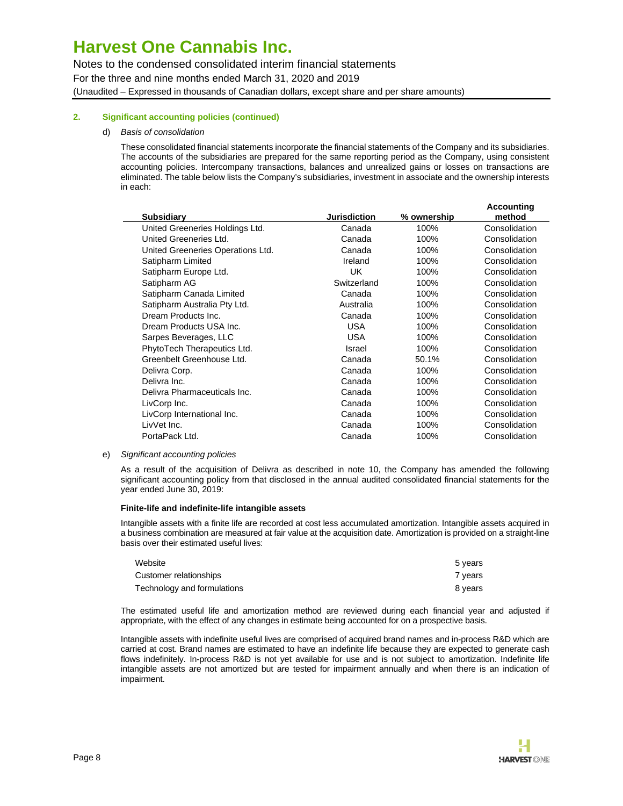Notes to the condensed consolidated interim financial statements For the three and nine months ended March 31, 2020 and 2019 (Unaudited – Expressed in thousands of Canadian dollars, except share and per share amounts)

### **2. Significant accounting policies (continued)**

#### d) Basis of consolidation

These consolidated financial statements incorporate the financial statements of the Company and its subsidiaries. The accounts of the subsidiaries are prepared for the same reporting period as the Company, using consistent accounting policies. Intercompany transactions, balances and unrealized gains or losses on transactions are eliminated. The table below lists the Company's subsidiaries, investment in associate and the ownership interests in each:

| <b>Subsidiary</b>                 | <b>Jurisdiction</b> | % ownership | Accounting<br>method |
|-----------------------------------|---------------------|-------------|----------------------|
| United Greeneries Holdings Ltd.   | Canada              | 100%        | Consolidation        |
| United Greeneries Ltd.            | Canada              | 100%        | Consolidation        |
| United Greeneries Operations Ltd. | Canada              | 100%        | Consolidation        |
| Satipharm Limited                 | Ireland             | 100%        | Consolidation        |
| Satipharm Europe Ltd.             | UK                  | 100%        | Consolidation        |
| Satipharm AG                      | Switzerland         | 100%        | Consolidation        |
| Satipharm Canada Limited          | Canada              | 100%        | Consolidation        |
| Satipharm Australia Pty Ltd.      | Australia           | 100%        | Consolidation        |
| Dream Products Inc.               | Canada              | 100%        | Consolidation        |
| Dream Products USA Inc.           | <b>USA</b>          | 100%        | Consolidation        |
| Sarpes Beverages, LLC             | <b>USA</b>          | 100%        | Consolidation        |
| PhytoTech Therapeutics Ltd.       | Israel              | 100%        | Consolidation        |
| Greenbelt Greenhouse Ltd.         | Canada              | 50.1%       | Consolidation        |
| Delivra Corp.                     | Canada              | 100%        | Consolidation        |
| Delivra Inc.                      | Canada              | 100%        | Consolidation        |
| Delivra Pharmaceuticals Inc.      | Canada              | 100%        | Consolidation        |
| LivCorp Inc.                      | Canada              | 100%        | Consolidation        |
| LivCorp International Inc.        | Canada              | 100%        | Consolidation        |
| LivVet Inc.                       | Canada              | 100%        | Consolidation        |
| PortaPack Ltd.                    | Canada              | 100%        | Consolidation        |
|                                   |                     |             |                      |

#### e) Significant accounting policies

As a result of the acquisition of Delivra as described in note 10, the Company has amended the following significant accounting policy from that disclosed in the annual audited consolidated financial statements for the year ended June 30, 2019:

#### **Finite-life and indefinite-life intangible assets**

Intangible assets with a finite life are recorded at cost less accumulated amortization. Intangible assets acquired in a business combination are measured at fair value at the acquisition date. Amortization is provided on a straight-line basis over their estimated useful lives:

| Website                     | 5 years |
|-----------------------------|---------|
| Customer relationships      | 7 vears |
| Technology and formulations | 8 vears |

The estimated useful life and amortization method are reviewed during each financial year and adjusted if appropriate, with the effect of any changes in estimate being accounted for on a prospective basis.

Intangible assets with indefinite useful lives are comprised of acquired brand names and in-process R&D which are carried at cost. Brand names are estimated to have an indefinite life because they are expected to generate cash flows indefinitely. In-process R&D is not yet available for use and is not subject to amortization. Indefinite life intangible assets are not amortized but are tested for impairment annually and when there is an indication of impairment.

**Accounting**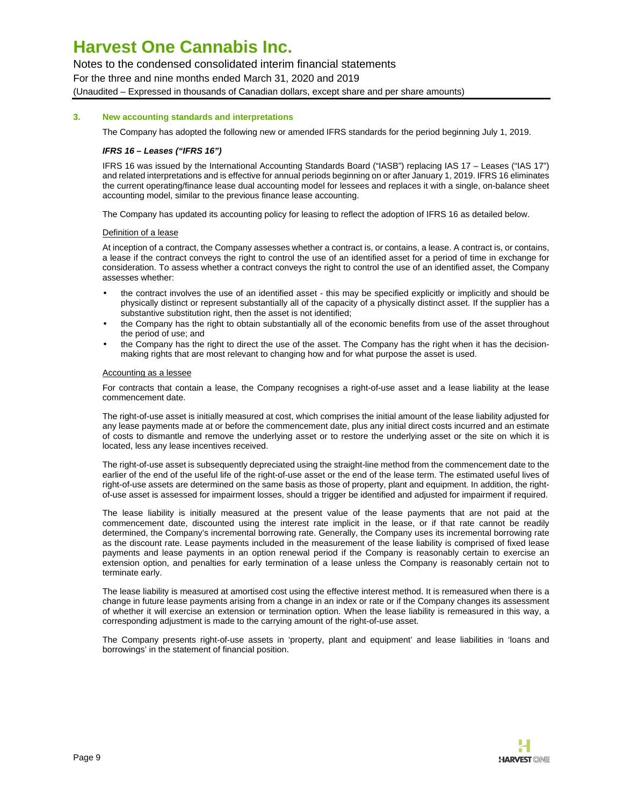Notes to the condensed consolidated interim financial statements

For the three and nine months ended March 31, 2020 and 2019

(Unaudited – Expressed in thousands of Canadian dollars, except share and per share amounts)

### **3. New accounting standards and interpretations**

The Company has adopted the following new or amended IFRS standards for the period beginning July 1, 2019.

### **IFRS 16 – Leases ("IFRS 16")**

IFRS 16 was issued by the International Accounting Standards Board ("IASB") replacing IAS 17 – Leases ("IAS 17") and related interpretations and is effective for annual periods beginning on or after January 1, 2019. IFRS 16 eliminates the current operating/finance lease dual accounting model for lessees and replaces it with a single, on-balance sheet accounting model, similar to the previous finance lease accounting.

The Company has updated its accounting policy for leasing to reflect the adoption of IFRS 16 as detailed below.

#### Definition of a lease

At inception of a contract, the Company assesses whether a contract is, or contains, a lease. A contract is, or contains, a lease if the contract conveys the right to control the use of an identified asset for a period of time in exchange for consideration. To assess whether a contract conveys the right to control the use of an identified asset, the Company assesses whether:

- the contract involves the use of an identified asset this may be specified explicitly or implicitly and should be physically distinct or represent substantially all of the capacity of a physically distinct asset. If the supplier has a substantive substitution right, then the asset is not identified;
- the Company has the right to obtain substantially all of the economic benefits from use of the asset throughout the period of use; and
- the Company has the right to direct the use of the asset. The Company has the right when it has the decisionmaking rights that are most relevant to changing how and for what purpose the asset is used.

#### Accounting as a lessee

For contracts that contain a lease, the Company recognises a right-of-use asset and a lease liability at the lease commencement date.

The right-of-use asset is initially measured at cost, which comprises the initial amount of the lease liability adjusted for any lease payments made at or before the commencement date, plus any initial direct costs incurred and an estimate of costs to dismantle and remove the underlying asset or to restore the underlying asset or the site on which it is located, less any lease incentives received.

The right-of-use asset is subsequently depreciated using the straight-line method from the commencement date to the earlier of the end of the useful life of the right-of-use asset or the end of the lease term. The estimated useful lives of right-of-use assets are determined on the same basis as those of property, plant and equipment. In addition, the rightof-use asset is assessed for impairment losses, should a trigger be identified and adjusted for impairment if required.

The lease liability is initially measured at the present value of the lease payments that are not paid at the commencement date, discounted using the interest rate implicit in the lease, or if that rate cannot be readily determined, the Company's incremental borrowing rate. Generally, the Company uses its incremental borrowing rate as the discount rate. Lease payments included in the measurement of the lease liability is comprised of fixed lease payments and lease payments in an option renewal period if the Company is reasonably certain to exercise an extension option, and penalties for early termination of a lease unless the Company is reasonably certain not to terminate early.

The lease liability is measured at amortised cost using the effective interest method. It is remeasured when there is a change in future lease payments arising from a change in an index or rate or if the Company changes its assessment of whether it will exercise an extension or termination option. When the lease liability is remeasured in this way, a corresponding adjustment is made to the carrying amount of the right-of-use asset.

The Company presents right-of-use assets in 'property, plant and equipment' and lease liabilities in 'loans and borrowings' in the statement of financial position.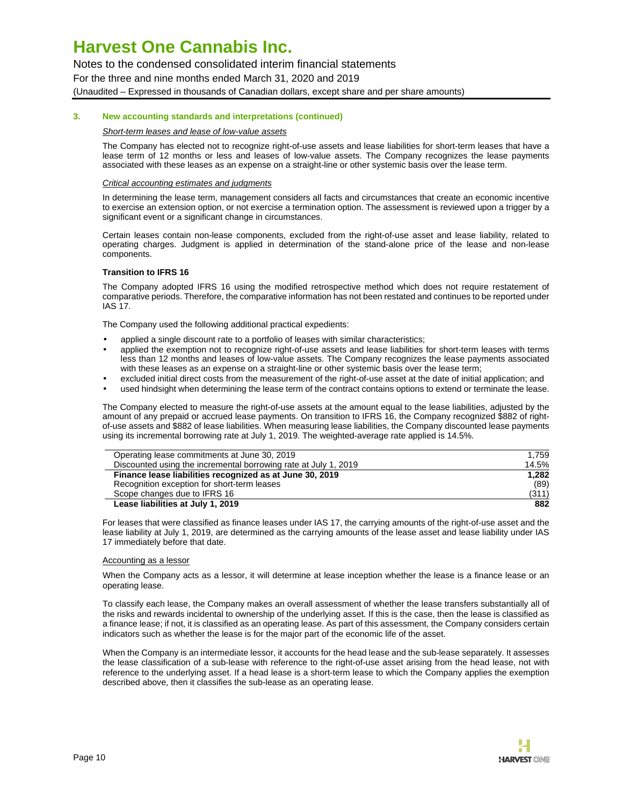Notes to the condensed consolidated interim financial statements For the three and nine months ended March 31, 2020 and 2019

(Unaudited – Expressed in thousands of Canadian dollars, except share and per share amounts)

#### **3. New accounting standards and interpretations (continued)**

#### Short-term leases and lease of low-value assets

The Company has elected not to recognize right-of-use assets and lease liabilities for short-term leases that have a lease term of 12 months or less and leases of low-value assets. The Company recognizes the lease payments associated with these leases as an expense on a straight-line or other systemic basis over the lease term.

#### Critical accounting estimates and judgments

In determining the lease term, management considers all facts and circumstances that create an economic incentive to exercise an extension option, or not exercise a termination option. The assessment is reviewed upon a trigger by a significant event or a significant change in circumstances.

Certain leases contain non-lease components, excluded from the right-of-use asset and lease liability, related to operating charges. Judgment is applied in determination of the stand-alone price of the lease and non-lease components.

#### **Transition to IFRS 16**

The Company adopted IFRS 16 using the modified retrospective method which does not require restatement of comparative periods. Therefore, the comparative information has not been restated and continues to be reported under IAS 17.

The Company used the following additional practical expedients:

- applied a single discount rate to a portfolio of leases with similar characteristics;
- applied the exemption not to recognize right-of-use assets and lease liabilities for short-term leases with terms less than 12 months and leases of low-value assets. The Company recognizes the lease payments associated with these leases as an expense on a straight-line or other systemic basis over the lease term;
- excluded initial direct costs from the measurement of the right-of-use asset at the date of initial application; and
- used hindsight when determining the lease term of the contract contains options to extend or terminate the lease.

The Company elected to measure the right-of-use assets at the amount equal to the lease liabilities, adjusted by the amount of any prepaid or accrued lease payments. On transition to IFRS 16, the Company recognized \$882 of rightof-use assets and \$882 of lease liabilities. When measuring lease liabilities, the Company discounted lease payments using its incremental borrowing rate at July 1, 2019. The weighted-average rate applied is 14.5%.

| Operating lease commitments at June 30, 2019                    | 1.759 |
|-----------------------------------------------------------------|-------|
| Discounted using the incremental borrowing rate at July 1, 2019 | 14.5% |
| Finance lease liabilities recognized as at June 30, 2019        | 1.282 |
| Recognition exception for short-term leases                     | (89)  |
| Scope changes due to IFRS 16                                    | (311) |
| Lease liabilities at July 1, 2019                               | 882   |

For leases that were classified as finance leases under IAS 17, the carrying amounts of the right-of-use asset and the lease liability at July 1, 2019, are determined as the carrying amounts of the lease asset and lease liability under IAS 17 immediately before that date.

#### Accounting as a lessor

When the Company acts as a lessor, it will determine at lease inception whether the lease is a finance lease or an operating lease.

To classify each lease, the Company makes an overall assessment of whether the lease transfers substantially all of the risks and rewards incidental to ownership of the underlying asset. If this is the case, then the lease is classified as a finance lease; if not, it is classified as an operating lease. As part of this assessment, the Company considers certain indicators such as whether the lease is for the major part of the economic life of the asset.

When the Company is an intermediate lessor, it accounts for the head lease and the sub-lease separately. It assesses the lease classification of a sub-lease with reference to the right-of-use asset arising from the head lease, not with reference to the underlying asset. If a head lease is a short-term lease to which the Company applies the exemption described above, then it classifies the sub-lease as an operating lease.

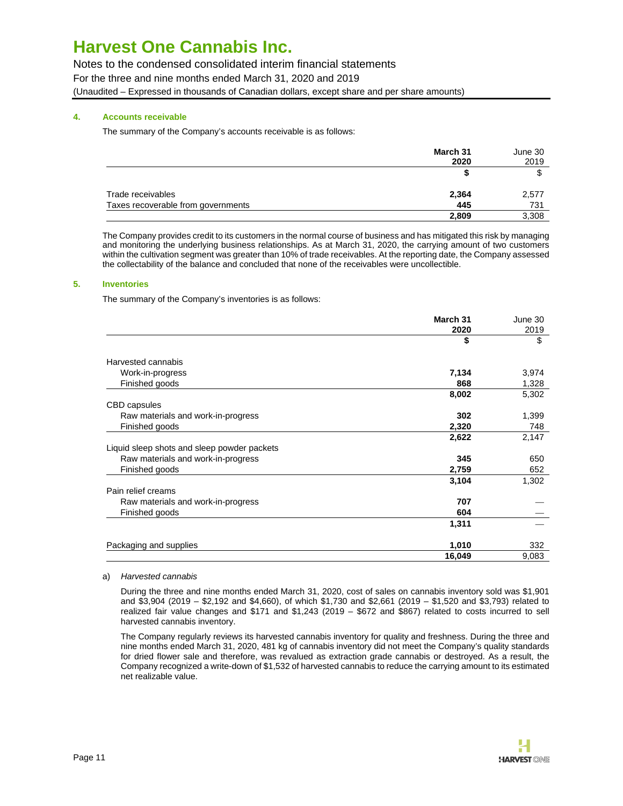Notes to the condensed consolidated interim financial statements For the three and nine months ended March 31, 2020 and 2019 (Unaudited – Expressed in thousands of Canadian dollars, except share and per share amounts)

### **4. Accounts receivable**

The summary of the Company's accounts receivable is as follows:

|                                    | March 31<br>2020 | June 30<br>2019 |
|------------------------------------|------------------|-----------------|
|                                    |                  |                 |
| Trade receivables                  | 2,364            | 2,577           |
| Taxes recoverable from governments | 445              | 731             |
|                                    | 2,809            | 3,308           |

The Company provides credit to its customers in the normal course of business and has mitigated this risk by managing and monitoring the underlying business relationships. As at March 31, 2020, the carrying amount of two customers within the cultivation segment was greater than 10% of trade receivables. At the reporting date, the Company assessed the collectability of the balance and concluded that none of the receivables were uncollectible.

### **5. Inventories**

The summary of the Company's inventories is as follows:

|                                             | March 31   | June 30    |
|---------------------------------------------|------------|------------|
|                                             | 2020<br>\$ | 2019<br>\$ |
| Harvested cannabis                          |            |            |
| Work-in-progress                            | 7,134      | 3,974      |
| Finished goods                              | 868        | 1,328      |
|                                             | 8,002      | 5,302      |
| CBD capsules                                |            |            |
| Raw materials and work-in-progress          | 302        | 1,399      |
| Finished goods                              | 2,320      | 748        |
|                                             | 2,622      | 2,147      |
| Liquid sleep shots and sleep powder packets |            |            |
| Raw materials and work-in-progress          | 345        | 650        |
| Finished goods                              | 2,759      | 652        |
|                                             | 3,104      | 1,302      |
| Pain relief creams                          |            |            |
| Raw materials and work-in-progress          | 707        |            |
| Finished goods                              | 604        |            |
|                                             | 1,311      |            |
| Packaging and supplies                      | 1,010      | 332        |
|                                             | 16,049     | 9,083      |

#### a) Harvested cannabis

During the three and nine months ended March 31, 2020, cost of sales on cannabis inventory sold was \$1,901 and \$3,904 (2019 – \$2,192 and \$4,660), of which \$1,730 and \$2,661 (2019 – \$1,520 and \$3,793) related to realized fair value changes and \$171 and \$1,243 (2019 – \$672 and \$867) related to costs incurred to sell harvested cannabis inventory.

The Company regularly reviews its harvested cannabis inventory for quality and freshness. During the three and nine months ended March 31, 2020, 481 kg of cannabis inventory did not meet the Company's quality standards for dried flower sale and therefore, was revalued as extraction grade cannabis or destroyed. As a result, the Company recognized a write-down of \$1,532 of harvested cannabis to reduce the carrying amount to its estimated net realizable value.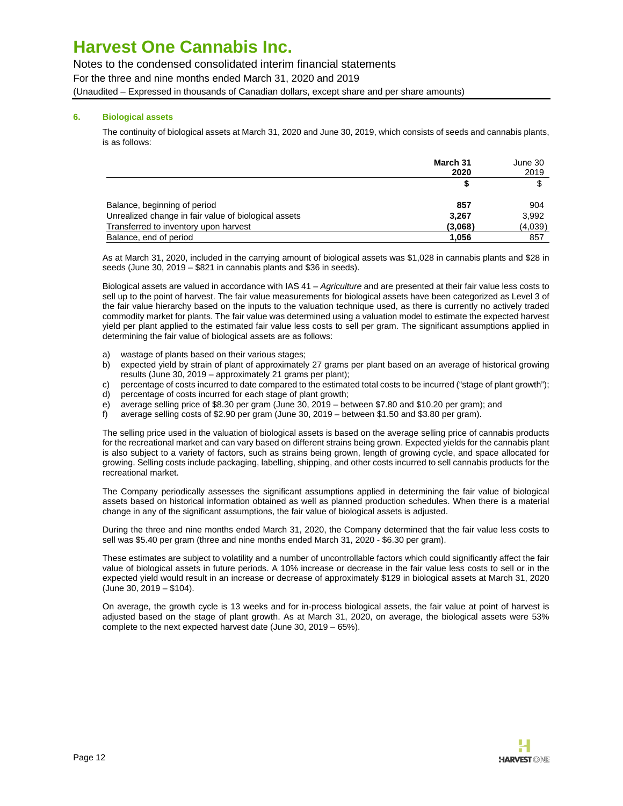Notes to the condensed consolidated interim financial statements

For the three and nine months ended March 31, 2020 and 2019

(Unaudited – Expressed in thousands of Canadian dollars, except share and per share amounts)

### **6. Biological assets**

The continuity of biological assets at March 31, 2020 and June 30, 2019, which consists of seeds and cannabis plants, is as follows:

|                                                      | March 31<br>2020 | June 30 |      |
|------------------------------------------------------|------------------|---------|------|
|                                                      |                  |         | 2019 |
|                                                      |                  |         |      |
| Balance, beginning of period                         | 857              | 904     |      |
| Unrealized change in fair value of biological assets | 3.267            | 3,992   |      |
| Transferred to inventory upon harvest                | (3,068)          | (4,039) |      |
| Balance, end of period                               | 1.056            | 857     |      |

As at March 31, 2020, included in the carrying amount of biological assets was \$1,028 in cannabis plants and \$28 in seeds (June 30, 2019 – \$821 in cannabis plants and \$36 in seeds).

Biological assets are valued in accordance with IAS 41 - Agriculture and are presented at their fair value less costs to sell up to the point of harvest. The fair value measurements for biological assets have been categorized as Level 3 of the fair value hierarchy based on the inputs to the valuation technique used, as there is currently no actively traded commodity market for plants. The fair value was determined using a valuation model to estimate the expected harvest yield per plant applied to the estimated fair value less costs to sell per gram. The significant assumptions applied in determining the fair value of biological assets are as follows:

- a) wastage of plants based on their various stages;
- b) expected yield by strain of plant of approximately 27 grams per plant based on an average of historical growing results (June 30, 2019 – approximately 21 grams per plant);
- c) percentage of costs incurred to date compared to the estimated total costs to be incurred ("stage of plant growth");
- d) percentage of costs incurred for each stage of plant growth;
- e) average selling price of \$8.30 per gram (June 30, 2019 between \$7.80 and \$10.20 per gram); and
- f) average selling costs of \$2.90 per gram (June 30, 2019 between \$1.50 and \$3.80 per gram).

The selling price used in the valuation of biological assets is based on the average selling price of cannabis products for the recreational market and can vary based on different strains being grown. Expected yields for the cannabis plant is also subject to a variety of factors, such as strains being grown, length of growing cycle, and space allocated for growing. Selling costs include packaging, labelling, shipping, and other costs incurred to sell cannabis products for the recreational market.

The Company periodically assesses the significant assumptions applied in determining the fair value of biological assets based on historical information obtained as well as planned production schedules. When there is a material change in any of the significant assumptions, the fair value of biological assets is adjusted.

During the three and nine months ended March 31, 2020, the Company determined that the fair value less costs to sell was \$5.40 per gram (three and nine months ended March 31, 2020 - \$6.30 per gram).

These estimates are subject to volatility and a number of uncontrollable factors which could significantly affect the fair value of biological assets in future periods. A 10% increase or decrease in the fair value less costs to sell or in the expected yield would result in an increase or decrease of approximately \$129 in biological assets at March 31, 2020 (June 30, 2019 – \$104).

On average, the growth cycle is 13 weeks and for in-process biological assets, the fair value at point of harvest is adjusted based on the stage of plant growth. As at March 31, 2020, on average, the biological assets were 53% complete to the next expected harvest date (June 30, 2019 – 65%).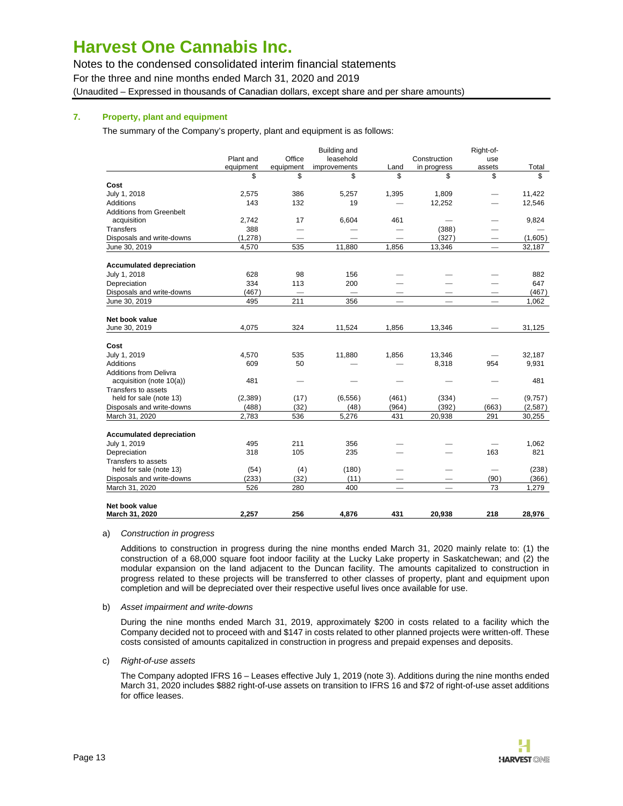Notes to the condensed consolidated interim financial statements For the three and nine months ended March 31, 2020 and 2019 (Unaudited – Expressed in thousands of Canadian dollars, except share and per share amounts)

### **7. Property, plant and equipment**

The summary of the Company's property, plant and equipment is as follows:

|                                 |           |           | <b>Building and</b> |                                 |                          | Right-of-                |         |
|---------------------------------|-----------|-----------|---------------------|---------------------------------|--------------------------|--------------------------|---------|
|                                 | Plant and | Office    | leasehold           |                                 | Construction             | use                      |         |
|                                 | equipment | equipment | improvements        | Land                            | in progress              | assets                   | Total   |
|                                 | \$        | \$        | \$                  | \$                              | \$                       | \$                       | \$      |
| Cost                            |           |           |                     |                                 |                          |                          |         |
| July 1, 2018                    | 2.575     | 386       | 5.257               | 1,395                           | 1,809                    |                          | 11,422  |
| Additions                       | 143       | 132       | 19                  |                                 | 12,252                   | $\overline{\phantom{0}}$ | 12,546  |
| <b>Additions from Greenbelt</b> |           |           |                     |                                 |                          |                          |         |
| acquisition                     | 2,742     | 17        | 6,604               | 461                             | $\overline{\phantom{0}}$ |                          | 9,824   |
| Transfers                       | 388       |           |                     |                                 | (388)                    |                          |         |
| Disposals and write-downs       | (1, 278)  |           |                     |                                 | (327)                    |                          | (1,605) |
| June 30, 2019                   | 4,570     | 535       | 11,880              | 1,856                           | 13,346                   | $\qquad \qquad -$        | 32,187  |
| <b>Accumulated depreciation</b> |           |           |                     |                                 |                          |                          |         |
| July 1, 2018                    | 628       | 98        | 156                 |                                 |                          |                          | 882     |
| Depreciation                    | 334       | 113       | 200                 |                                 |                          |                          | 647     |
| Disposals and write-downs       | (467)     |           |                     |                                 |                          |                          | (467)   |
| June 30, 2019                   | 495       | 211       | 356                 | $\hspace{0.1mm}-\hspace{0.1mm}$ |                          | $\qquad \qquad -$        | 1,062   |
|                                 |           |           |                     |                                 |                          |                          |         |
| Net book value                  |           |           |                     |                                 |                          |                          |         |
| June 30, 2019                   | 4.075     | 324       | 11,524              | 1,856                           | 13,346                   |                          | 31,125  |
| Cost                            |           |           |                     |                                 |                          |                          |         |
| July 1, 2019                    | 4,570     | 535       | 11,880              | 1,856                           | 13,346                   |                          | 32,187  |
| Additions                       | 609       | 50        |                     |                                 | 8,318                    | 954                      | 9,931   |
| <b>Additions from Delivra</b>   |           |           |                     |                                 |                          |                          |         |
| acquisition (note 10(a))        | 481       |           |                     |                                 |                          |                          | 481     |
| Transfers to assets             |           |           |                     |                                 |                          |                          |         |
| held for sale (note 13)         | (2,389)   | (17)      | (6, 556)            | (461)                           | (334)                    |                          | (9,757) |
| Disposals and write-downs       | (488)     | (32)      | (48)                | (964)                           | (392)                    | (663)                    | (2,587) |
| March 31, 2020                  | 2,783     | 536       | 5,276               | 431                             | 20,938                   | 291                      | 30,255  |
| <b>Accumulated depreciation</b> |           |           |                     |                                 |                          |                          |         |
| July 1, 2019                    | 495       | 211       | 356                 |                                 |                          |                          | 1,062   |
| Depreciation                    | 318       | 105       | 235                 |                                 |                          | 163                      | 821     |
| Transfers to assets             |           |           |                     |                                 |                          |                          |         |
| held for sale (note 13)         | (54)      | (4)       | (180)               |                                 |                          |                          | (238)   |
| Disposals and write-downs       | (233)     | (32)      | (11)                |                                 |                          | (90)                     | (366)   |
| March 31, 2020                  | 526       | 280       | 400                 |                                 |                          | 73                       | 1,279   |
|                                 |           |           |                     |                                 |                          |                          |         |
| Net book value                  |           |           |                     |                                 |                          |                          |         |
| March 31, 2020                  | 2.257     | 256       | 4,876               | 431                             | 20,938                   | 218                      | 28.976  |

#### a) Construction in progress

Additions to construction in progress during the nine months ended March 31, 2020 mainly relate to: (1) the construction of a 68,000 square foot indoor facility at the Lucky Lake property in Saskatchewan; and (2) the modular expansion on the land adjacent to the Duncan facility. The amounts capitalized to construction in progress related to these projects will be transferred to other classes of property, plant and equipment upon completion and will be depreciated over their respective useful lives once available for use.

b) Asset impairment and write-downs

During the nine months ended March 31, 2019, approximately \$200 in costs related to a facility which the Company decided not to proceed with and \$147 in costs related to other planned projects were written-off. These costs consisted of amounts capitalized in construction in progress and prepaid expenses and deposits.

#### c) Right-of-use assets

The Company adopted IFRS 16 – Leases effective July 1, 2019 (note 3). Additions during the nine months ended March 31, 2020 includes \$882 right-of-use assets on transition to IFRS 16 and \$72 of right-of-use asset additions for office leases.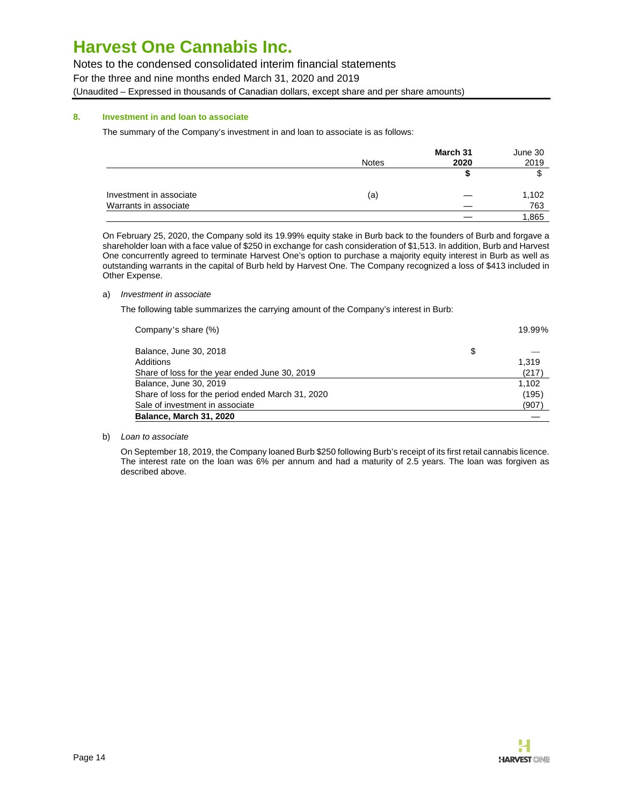Notes to the condensed consolidated interim financial statements

For the three and nine months ended March 31, 2020 and 2019

(Unaudited – Expressed in thousands of Canadian dollars, except share and per share amounts)

### **8. Investment in and loan to associate**

The summary of the Company's investment in and loan to associate is as follows:

|                         |              | March 31 | June 30 |
|-------------------------|--------------|----------|---------|
|                         | <b>Notes</b> | 2020     | 2019    |
|                         |              |          |         |
| Investment in associate | (a)          |          | 1,102   |
| Warrants in associate   |              |          | 763     |
|                         |              |          | 1,865   |

On February 25, 2020, the Company sold its 19.99% equity stake in Burb back to the founders of Burb and forgave a shareholder loan with a face value of \$250 in exchange for cash consideration of \$1,513. In addition, Burb and Harvest One concurrently agreed to terminate Harvest One's option to purchase a majority equity interest in Burb as well as outstanding warrants in the capital of Burb held by Harvest One. The Company recognized a loss of \$413 included in Other Expense.

### a) Investment in associate

The following table summarizes the carrying amount of the Company's interest in Burb:

| Share of loss for the period ended March 31, 2020                        | (195)          |
|--------------------------------------------------------------------------|----------------|
| Share of loss for the year ended June 30, 2019<br>Balance, June 30, 2019 | (217)<br>1.102 |
| Additions                                                                | 1.319          |
| Balance, June 30, 2018                                                   | \$             |
| Company's share (%)                                                      | 19.99%         |

b) Loan to associate

On September 18, 2019, the Company loaned Burb \$250 following Burb's receipt of its first retail cannabis licence. The interest rate on the loan was 6% per annum and had a maturity of 2.5 years. The loan was forgiven as described above.

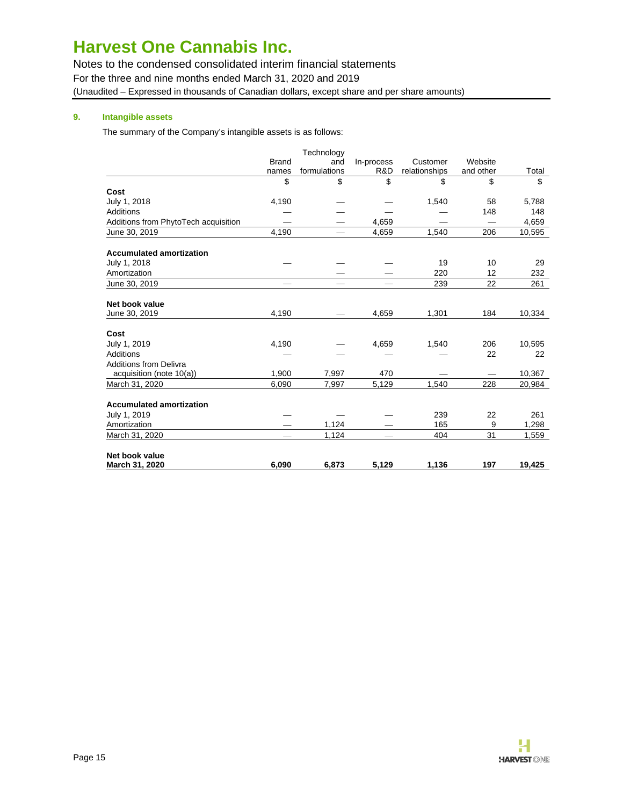Notes to the condensed consolidated interim financial statements For the three and nine months ended March 31, 2020 and 2019 (Unaudited – Expressed in thousands of Canadian dollars, except share and per share amounts)

## **9. Intangible assets**

The summary of the Company's intangible assets is as follows:

|                                      |              | Technology   |            |               |           |        |
|--------------------------------------|--------------|--------------|------------|---------------|-----------|--------|
|                                      | <b>Brand</b> | and          | In-process | Customer      | Website   |        |
|                                      | names        | formulations | R&D        | relationships | and other | Total  |
|                                      | \$           | \$           | \$         | \$            | \$        | \$     |
| Cost                                 |              |              |            |               |           |        |
| July 1, 2018                         | 4,190        |              |            | 1,540         | 58        | 5,788  |
| Additions                            |              |              |            |               | 148       | 148    |
| Additions from PhytoTech acquisition |              |              | 4,659      |               |           | 4,659  |
| June 30, 2019                        | 4,190        |              | 4,659      | 1,540         | 206       | 10,595 |
| <b>Accumulated amortization</b>      |              |              |            |               |           |        |
| July 1, 2018                         |              |              |            | 19            | 10        | 29     |
| Amortization                         |              |              |            | 220           | 12        | 232    |
| June 30, 2019                        |              |              |            | 239           | 22        | 261    |
| Net book value                       |              |              |            |               |           |        |
| June 30, 2019                        | 4,190        |              | 4,659      | 1,301         | 184       | 10,334 |
| Cost                                 |              |              |            |               |           |        |
| July 1, 2019                         | 4,190        |              | 4,659      | 1,540         | 206       | 10,595 |
| Additions                            |              |              |            |               | 22        | 22     |
| <b>Additions from Delivra</b>        |              |              |            |               |           |        |
| acquisition (note 10(a))             | 1,900        | 7,997        | 470        |               |           | 10,367 |
| March 31, 2020                       | 6,090        | 7,997        | 5,129      | 1,540         | 228       | 20,984 |
| <b>Accumulated amortization</b>      |              |              |            |               |           |        |
| July 1, 2019                         |              |              |            | 239           | 22        | 261    |
| Amortization                         |              | 1,124        |            | 165           | 9         | 1,298  |
| March 31, 2020                       |              | 1,124        |            | 404           | 31        | 1,559  |
| Net book value                       |              |              |            |               |           |        |
| March 31, 2020                       | 6.090        | 6.873        | 5.129      | 1,136         | 197       | 19.425 |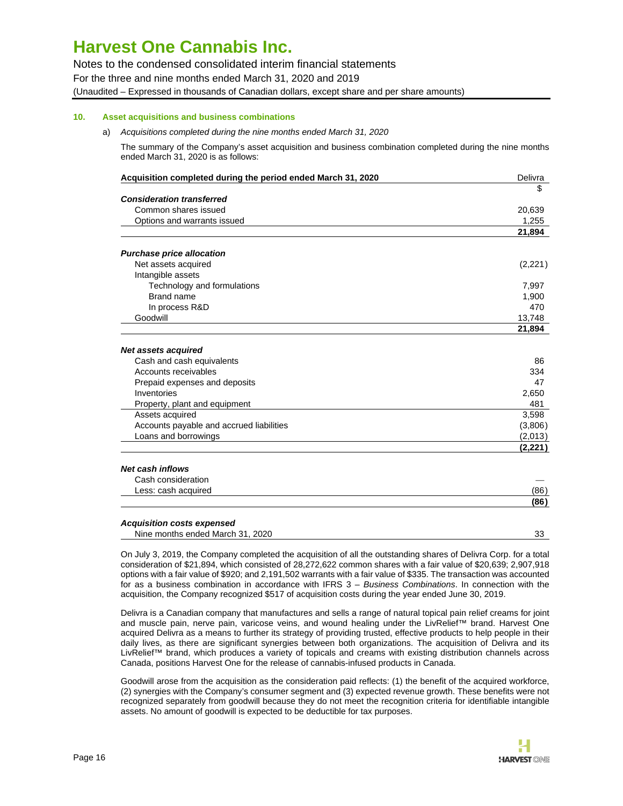Notes to the condensed consolidated interim financial statements

For the three and nine months ended March 31, 2020 and 2019

(Unaudited – Expressed in thousands of Canadian dollars, except share and per share amounts)

# **10. Asset acquisitions and business combinations**

### a) Acquisitions completed during the nine months ended March 31, 2020

The summary of the Company's asset acquisition and business combination completed during the nine months ended March 31, 2020 is as follows:

| Acquisition completed during the period ended March 31, 2020 | Delivra  |
|--------------------------------------------------------------|----------|
|                                                              | \$       |
| <b>Consideration transferred</b>                             |          |
| Common shares issued                                         | 20,639   |
| Options and warrants issued                                  | 1,255    |
|                                                              | 21,894   |
| <b>Purchase price allocation</b>                             |          |
| Net assets acquired                                          | (2,221)  |
| Intangible assets                                            |          |
| Technology and formulations                                  | 7,997    |
| Brand name                                                   | 1,900    |
| In process R&D                                               | 470      |
| Goodwill                                                     | 13,748   |
|                                                              | 21,894   |
| Net assets acquired                                          |          |
| Cash and cash equivalents                                    | 86       |
| Accounts receivables                                         | 334      |
| Prepaid expenses and deposits                                | 47       |
| Inventories                                                  | 2,650    |
| Property, plant and equipment                                | 481      |
| Assets acquired                                              | 3,598    |
| Accounts payable and accrued liabilities                     | (3,806)  |
| Loans and borrowings                                         | (2,013)  |
|                                                              | (2, 221) |
| <b>Net cash inflows</b>                                      |          |
| Cash consideration                                           |          |
| Less: cash acquired                                          | (86)     |
|                                                              | (86)     |
| <b>Acquisition costs expensed</b>                            |          |
| Nine months ended March 31, 2020                             | 33       |

On July 3, 2019, the Company completed the acquisition of all the outstanding shares of Delivra Corp. for a total consideration of \$21,894, which consisted of 28,272,622 common shares with a fair value of \$20,639; 2,907,918 options with a fair value of \$920; and 2,191,502 warrants with a fair value of \$335. The transaction was accounted for as a business combination in accordance with IFRS 3 - Business Combinations. In connection with the acquisition, the Company recognized \$517 of acquisition costs during the year ended June 30, 2019.

Delivra is a Canadian company that manufactures and sells a range of natural topical pain relief creams for joint and muscle pain, nerve pain, varicose veins, and wound healing under the LivRelief™ brand. Harvest One acquired Delivra as a means to further its strategy of providing trusted, effective products to help people in their daily lives, as there are significant synergies between both organizations. The acquisition of Delivra and its LivRelief™ brand, which produces a variety of topicals and creams with existing distribution channels across Canada, positions Harvest One for the release of cannabis-infused products in Canada.

Goodwill arose from the acquisition as the consideration paid reflects: (1) the benefit of the acquired workforce, (2) synergies with the Company's consumer segment and (3) expected revenue growth. These benefits were not recognized separately from goodwill because they do not meet the recognition criteria for identifiable intangible assets. No amount of goodwill is expected to be deductible for tax purposes.

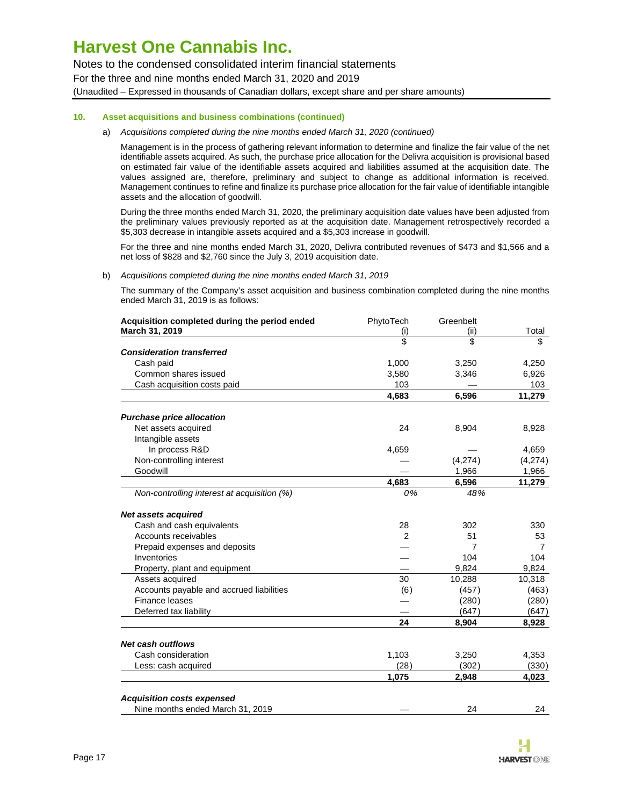Notes to the condensed consolidated interim financial statements

For the three and nine months ended March 31, 2020 and 2019

(Unaudited – Expressed in thousands of Canadian dollars, except share and per share amounts)

#### **10. Asset acquisitions and business combinations (continued)**

#### a) Acquisitions completed during the nine months ended March 31, 2020 (continued)

Management is in the process of gathering relevant information to determine and finalize the fair value of the net identifiable assets acquired. As such, the purchase price allocation for the Delivra acquisition is provisional based on estimated fair value of the identifiable assets acquired and liabilities assumed at the acquisition date. The values assigned are, therefore, preliminary and subject to change as additional information is received. Management continues to refine and finalize its purchase price allocation for the fair value of identifiable intangible assets and the allocation of goodwill.

During the three months ended March 31, 2020, the preliminary acquisition date values have been adjusted from the preliminary values previously reported as at the acquisition date. Management retrospectively recorded a \$5,303 decrease in intangible assets acquired and a \$5,303 increase in goodwill.

For the three and nine months ended March 31, 2020, Delivra contributed revenues of \$473 and \$1,566 and a net loss of \$828 and \$2,760 since the July 3, 2019 acquisition date.

#### b) Acquisitions completed during the nine months ended March 31, 2019

The summary of the Company's asset acquisition and business combination completed during the nine months ended March 31, 2019 is as follows:

| Acquisition completed during the period ended | PhytoTech      | Greenbelt |         |
|-----------------------------------------------|----------------|-----------|---------|
| March 31, 2019                                | (i)            | (ii)      | Total   |
|                                               | \$             | \$        | \$      |
| <b>Consideration transferred</b>              |                |           |         |
| Cash paid                                     | 1,000          | 3,250     | 4,250   |
| Common shares issued                          | 3,580          | 3,346     | 6,926   |
| Cash acquisition costs paid                   | 103            |           | 103     |
|                                               | 4,683          | 6,596     | 11,279  |
| <b>Purchase price allocation</b>              |                |           |         |
| Net assets acquired                           | 24             | 8,904     | 8,928   |
| Intangible assets                             |                |           |         |
| In process R&D                                | 4,659          |           | 4,659   |
| Non-controlling interest                      |                | (4,274)   | (4,274) |
| Goodwill                                      |                | 1,966     | 1,966   |
|                                               | 4,683          | 6,596     | 11,279  |
| Non-controlling interest at acquisition (%)   | 0%             | 48%       |         |
| <b>Net assets acquired</b>                    |                |           |         |
| Cash and cash equivalents                     | 28             | 302       | 330     |
| Accounts receivables                          | $\mathfrak{p}$ | 51        | 53      |
| Prepaid expenses and deposits                 |                | 7         | 7       |
| Inventories                                   |                | 104       | 104     |
| Property, plant and equipment                 |                | 9,824     | 9,824   |
| Assets acquired                               | 30             | 10,288    | 10,318  |
| Accounts payable and accrued liabilities      | (6)            | (457)     | (463)   |
| <b>Finance leases</b>                         |                | (280)     | (280)   |
| Deferred tax liability                        |                | (647)     | (647)   |
|                                               | 24             | 8,904     | 8,928   |
| <b>Net cash outflows</b>                      |                |           |         |
| Cash consideration                            | 1,103          | 3,250     | 4,353   |
| Less: cash acquired                           | (28)           | (302)     | (330)   |
|                                               | 1,075          | 2,948     | 4,023   |
| <b>Acquisition costs expensed</b>             |                |           |         |
| Nine months ended March 31, 2019              |                | 24        | 24      |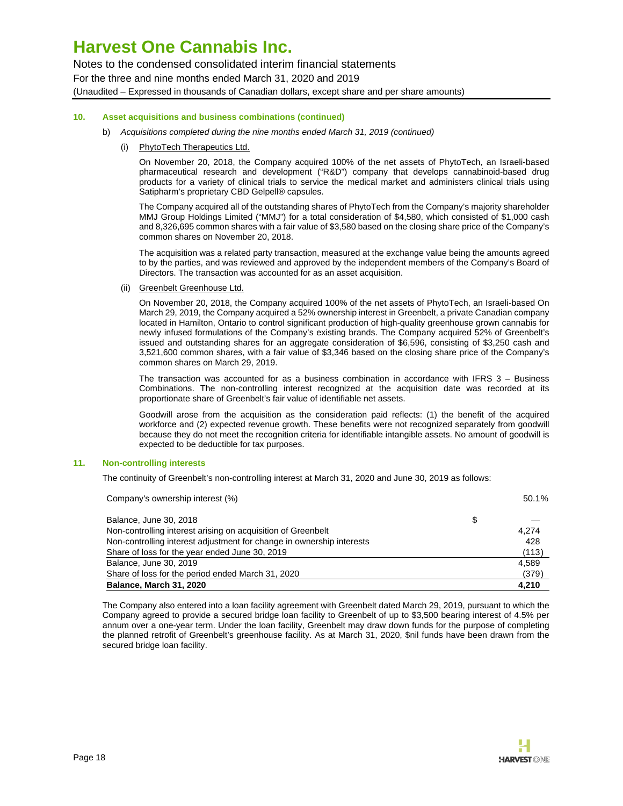Notes to the condensed consolidated interim financial statements For the three and nine months ended March 31, 2020 and 2019 (Unaudited – Expressed in thousands of Canadian dollars, except share and per share amounts)

### **10. Asset acquisitions and business combinations (continued)**

- b) Acquisitions completed during the nine months ended March 31, 2019 (continued)
	- (i) PhytoTech Therapeutics Ltd.

On November 20, 2018, the Company acquired 100% of the net assets of PhytoTech, an Israeli-based pharmaceutical research and development ("R&D") company that develops cannabinoid-based drug products for a variety of clinical trials to service the medical market and administers clinical trials using Satipharm's proprietary CBD Gelpell® capsules.

The Company acquired all of the outstanding shares of PhytoTech from the Company's majority shareholder MMJ Group Holdings Limited ("MMJ") for a total consideration of \$4,580, which consisted of \$1,000 cash and 8,326,695 common shares with a fair value of \$3,580 based on the closing share price of the Company's common shares on November 20, 2018.

The acquisition was a related party transaction, measured at the exchange value being the amounts agreed to by the parties, and was reviewed and approved by the independent members of the Company's Board of Directors. The transaction was accounted for as an asset acquisition.

(ii) Greenbelt Greenhouse Ltd.

On November 20, 2018, the Company acquired 100% of the net assets of PhytoTech, an Israeli-based On March 29, 2019, the Company acquired a 52% ownership interest in Greenbelt, a private Canadian company located in Hamilton, Ontario to control significant production of high-quality greenhouse grown cannabis for newly infused formulations of the Company's existing brands. The Company acquired 52% of Greenbelt's issued and outstanding shares for an aggregate consideration of \$6,596, consisting of \$3,250 cash and 3,521,600 common shares, with a fair value of \$3,346 based on the closing share price of the Company's common shares on March 29, 2019.

The transaction was accounted for as a business combination in accordance with IFRS 3 – Business Combinations. The non-controlling interest recognized at the acquisition date was recorded at its proportionate share of Greenbelt's fair value of identifiable net assets.

Goodwill arose from the acquisition as the consideration paid reflects: (1) the benefit of the acquired workforce and (2) expected revenue growth. These benefits were not recognized separately from goodwill because they do not meet the recognition criteria for identifiable intangible assets. No amount of goodwill is expected to be deductible for tax purposes.

### **11. Non-controlling interests**

The continuity of Greenbelt's non-controlling interest at March 31, 2020 and June 30, 2019 as follows:

| <b>Balance, March 31, 2020</b>                                        | 4,210    |
|-----------------------------------------------------------------------|----------|
| Share of loss for the period ended March 31, 2020                     | (379)    |
| Balance, June 30, 2019                                                | 4,589    |
| Share of loss for the year ended June 30, 2019                        | (113)    |
| Non-controlling interest adjustment for change in ownership interests | 428      |
| Non-controlling interest arising on acquisition of Greenbelt          | 4.274    |
| Balance, June 30, 2018                                                | \$       |
| Company's ownership interest (%)                                      | $50.1\%$ |

The Company also entered into a loan facility agreement with Greenbelt dated March 29, 2019, pursuant to which the Company agreed to provide a secured bridge loan facility to Greenbelt of up to \$3,500 bearing interest of 4.5% per annum over a one-year term. Under the loan facility, Greenbelt may draw down funds for the purpose of completing the planned retrofit of Greenbelt's greenhouse facility. As at March 31, 2020, \$nil funds have been drawn from the secured bridge loan facility.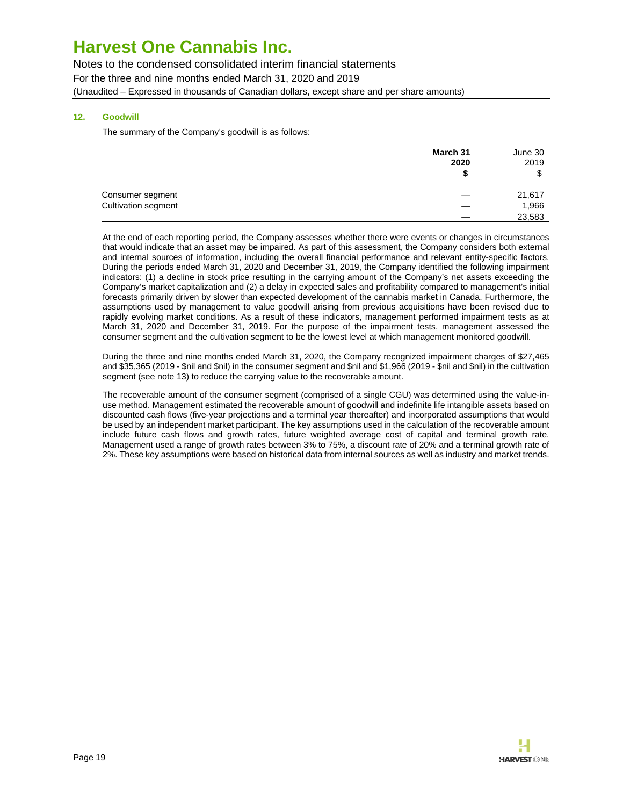Notes to the condensed consolidated interim financial statements For the three and nine months ended March 31, 2020 and 2019

(Unaudited – Expressed in thousands of Canadian dollars, except share and per share amounts)

### **12. Goodwill**

The summary of the Company's goodwill is as follows:

|                            | March 31 | June 30 |  |
|----------------------------|----------|---------|--|
|                            | 2020     | 2019    |  |
|                            |          | J       |  |
| Consumer segment           |          | 21,617  |  |
| <b>Cultivation segment</b> |          | 1,966   |  |
|                            |          | 23,583  |  |

At the end of each reporting period, the Company assesses whether there were events or changes in circumstances that would indicate that an asset may be impaired. As part of this assessment, the Company considers both external and internal sources of information, including the overall financial performance and relevant entity-specific factors. During the periods ended March 31, 2020 and December 31, 2019, the Company identified the following impairment indicators: (1) a decline in stock price resulting in the carrying amount of the Company's net assets exceeding the Company's market capitalization and (2) a delay in expected sales and profitability compared to management's initial forecasts primarily driven by slower than expected development of the cannabis market in Canada. Furthermore, the assumptions used by management to value goodwill arising from previous acquisitions have been revised due to rapidly evolving market conditions. As a result of these indicators, management performed impairment tests as at March 31, 2020 and December 31, 2019. For the purpose of the impairment tests, management assessed the consumer segment and the cultivation segment to be the lowest level at which management monitored goodwill.

During the three and nine months ended March 31, 2020, the Company recognized impairment charges of \$27,465 and \$35,365 (2019 - \$nil and \$nil) in the consumer segment and \$nil and \$1,966 (2019 - \$nil and \$nil) in the cultivation segment (see note 13) to reduce the carrying value to the recoverable amount.

The recoverable amount of the consumer segment (comprised of a single CGU) was determined using the value-inuse method. Management estimated the recoverable amount of goodwill and indefinite life intangible assets based on discounted cash flows (five-year projections and a terminal year thereafter) and incorporated assumptions that would be used by an independent market participant. The key assumptions used in the calculation of the recoverable amount include future cash flows and growth rates, future weighted average cost of capital and terminal growth rate. Management used a range of growth rates between 3% to 75%, a discount rate of 20% and a terminal growth rate of 2%. These key assumptions were based on historical data from internal sources as well as industry and market trends.

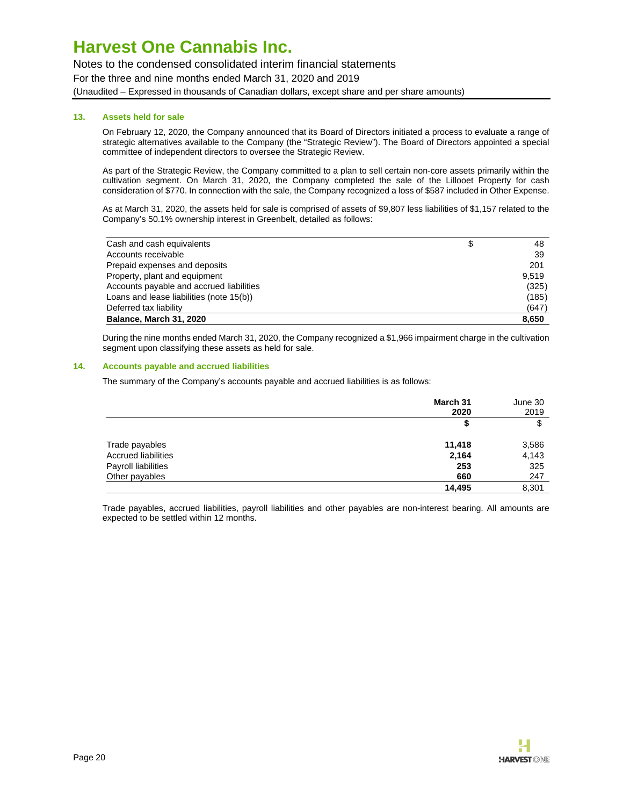Notes to the condensed consolidated interim financial statements For the three and nine months ended March 31, 2020 and 2019 (Unaudited – Expressed in thousands of Canadian dollars, except share and per share amounts)

### **13. Assets held for sale**

On February 12, 2020, the Company announced that its Board of Directors initiated a process to evaluate a range of strategic alternatives available to the Company (the "Strategic Review"). The Board of Directors appointed a special committee of independent directors to oversee the Strategic Review.

As part of the Strategic Review, the Company committed to a plan to sell certain non-core assets primarily within the cultivation segment. On March 31, 2020, the Company completed the sale of the Lillooet Property for cash consideration of \$770. In connection with the sale, the Company recognized a loss of \$587 included in Other Expense.

As at March 31, 2020, the assets held for sale is comprised of assets of \$9,807 less liabilities of \$1,157 related to the Company's 50.1% ownership interest in Greenbelt, detailed as follows:

| Cash and cash equivalents                | \$<br>48 |
|------------------------------------------|----------|
| Accounts receivable                      | 39       |
| Prepaid expenses and deposits            | 201      |
| Property, plant and equipment            | 9.519    |
| Accounts payable and accrued liabilities | (325)    |
| Loans and lease liabilities (note 15(b)) | (185)    |
| Deferred tax liability                   | (647)    |
| Balance, March 31, 2020                  | 8,650    |

During the nine months ended March 31, 2020, the Company recognized a \$1,966 impairment charge in the cultivation segment upon classifying these assets as held for sale.

#### **14. Accounts payable and accrued liabilities**

The summary of the Company's accounts payable and accrued liabilities is as follows:

|                            | March 31<br>2020 | June 30<br>2019 |
|----------------------------|------------------|-----------------|
|                            | \$               | \$              |
| Trade payables             | 11,418           | 3,586           |
| <b>Accrued liabilities</b> | 2,164            | 4,143           |
| Payroll liabilities        | 253              | 325             |
| Other payables             | 660              | 247             |
|                            | 14.495           | 8,301           |

Trade payables, accrued liabilities, payroll liabilities and other payables are non-interest bearing. All amounts are expected to be settled within 12 months.

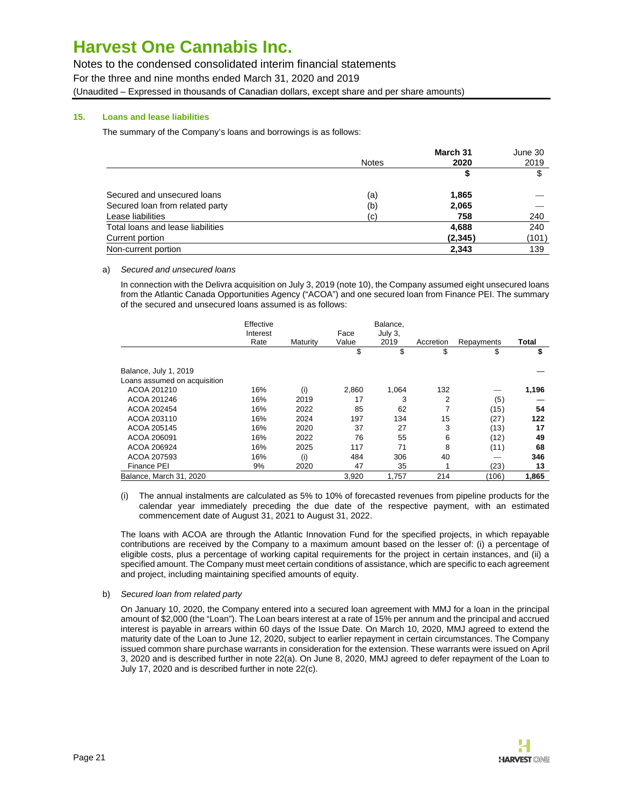Notes to the condensed consolidated interim financial statements

For the three and nine months ended March 31, 2020 and 2019

(Unaudited – Expressed in thousands of Canadian dollars, except share and per share amounts)

### **15. Loans and lease liabilities**

The summary of the Company's loans and borrowings is as follows:

|                                   |              | March 31 | June 30 |
|-----------------------------------|--------------|----------|---------|
|                                   | <b>Notes</b> | 2020     | 2019    |
|                                   |              | S        | \$      |
| Secured and unsecured loans       | (a)          | 1,865    |         |
| Secured loan from related party   | (b)          | 2,065    |         |
| Lease liabilities                 | (c)          | 758      | 240     |
| Total loans and lease liabilities |              | 4,688    | 240     |
| Current portion                   |              | (2, 345) | (101)   |
| Non-current portion               |              | 2,343    | 139     |

a) Secured and unsecured loans

In connection with the Delivra acquisition on July 3, 2019 (note 10), the Company assumed eight unsecured loans from the Atlantic Canada Opportunities Agency ("ACOA") and one secured loan from Finance PEI. The summary of the secured and unsecured loans assumed is as follows:

|                              | Effective<br>Interest<br>Rate | Maturity | Face<br>Value | Balance,<br>July 3,<br>2019 | Accretion |                  | Total |
|------------------------------|-------------------------------|----------|---------------|-----------------------------|-----------|------------------|-------|
|                              |                               |          | \$            | \$                          | \$        | Repayments<br>\$ | \$    |
|                              |                               |          |               |                             |           |                  |       |
| Balance, July 1, 2019        |                               |          |               |                             |           |                  |       |
| Loans assumed on acquisition |                               |          |               |                             |           |                  |       |
| ACOA 201210                  | 16%                           | (i)      | 2,860         | 1,064                       | 132       |                  | 1,196 |
| ACOA 201246                  | 16%                           | 2019     | 17            | 3                           | 2         | (5)              |       |
| ACOA 202454                  | 16%                           | 2022     | 85            | 62                          |           | (15)             | 54    |
| ACOA 203110                  | 16%                           | 2024     | 197           | 134                         | 15        | (27)             | 122   |
| ACOA 205145                  | 16%                           | 2020     | 37            | 27                          | 3         | (13)             | 17    |
| ACOA 206091                  | 16%                           | 2022     | 76            | 55                          | 6         | (12)             | 49    |
| ACOA 206924                  | 16%                           | 2025     | 117           | 71                          | 8         | (11)             | 68    |
| ACOA 207593                  | 16%                           | (i)      | 484           | 306                         | 40        |                  | 346   |
| <b>Finance PEI</b>           | 9%                            | 2020     | 47            | 35                          |           | (23)             | 13    |
| Balance, March 31, 2020      |                               |          | 3,920         | 1,757                       | 214       | (106)            | 1,865 |

(i) The annual instalments are calculated as 5% to 10% of forecasted revenues from pipeline products for the calendar year immediately preceding the due date of the respective payment, with an estimated commencement date of August 31, 2021 to August 31, 2022.

The loans with ACOA are through the Atlantic Innovation Fund for the specified projects, in which repayable contributions are received by the Company to a maximum amount based on the lesser of: (i) a percentage of eligible costs, plus a percentage of working capital requirements for the project in certain instances, and (ii) a specified amount. The Company must meet certain conditions of assistance, which are specific to each agreement and project, including maintaining specified amounts of equity.

b) Secured loan from related party

On January 10, 2020, the Company entered into a secured loan agreement with MMJ for a loan in the principal amount of \$2,000 (the "Loan"). The Loan bears interest at a rate of 15% per annum and the principal and accrued interest is payable in arrears within 60 days of the Issue Date. On March 10, 2020, MMJ agreed to extend the maturity date of the Loan to June 12, 2020, subject to earlier repayment in certain circumstances. The Company issued common share purchase warrants in consideration for the extension. These warrants were issued on April 3, 2020 and is described further in note 22(a). On June 8, 2020, MMJ agreed to defer repayment of the Loan to July 17, 2020 and is described further in note 22(c).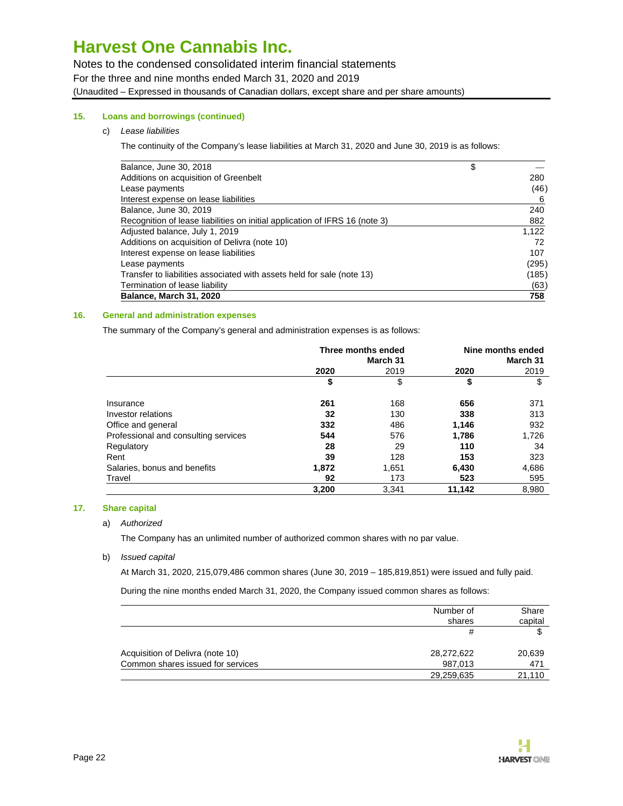Notes to the condensed consolidated interim financial statements For the three and nine months ended March 31, 2020 and 2019

(Unaudited – Expressed in thousands of Canadian dollars, except share and per share amounts)

### **15. Loans and borrowings (continued)**

### c) Lease liabilities

The continuity of the Company's lease liabilities at March 31, 2020 and June 30, 2019 is as follows:

| Balance, June 30, 2018                                                      | \$    |
|-----------------------------------------------------------------------------|-------|
| Additions on acquisition of Greenbelt                                       | 280   |
| Lease payments                                                              | (46)  |
| Interest expense on lease liabilities                                       | -6    |
| Balance, June 30, 2019                                                      | 240   |
| Recognition of lease liabilities on initial application of IFRS 16 (note 3) | 882   |
| Adjusted balance, July 1, 2019                                              | 1,122 |
| Additions on acquisition of Delivra (note 10)                               | 72    |
| Interest expense on lease liabilities                                       | 107   |
| Lease payments                                                              | (295) |
| Transfer to liabilities associated with assets held for sale (note 13)      | (185) |
| Termination of lease liability                                              | (63)  |
| <b>Balance, March 31, 2020</b>                                              | 758   |

### **16. General and administration expenses**

The summary of the Company's general and administration expenses is as follows:

|                                      | Three months ended<br>March 31 |       |        | Nine months ended<br>March 31 |
|--------------------------------------|--------------------------------|-------|--------|-------------------------------|
|                                      | 2020                           | 2019  | 2020   | 2019                          |
|                                      | \$                             | \$    | \$     | \$                            |
| Insurance                            | 261                            | 168   | 656    | 371                           |
| Investor relations                   | 32                             | 130   | 338    | 313                           |
| Office and general                   | 332                            | 486   | 1,146  | 932                           |
| Professional and consulting services | 544                            | 576   | 1,786  | 1,726                         |
| Regulatory                           | 28                             | 29    | 110    | 34                            |
| Rent                                 | 39                             | 128   | 153    | 323                           |
| Salaries, bonus and benefits         | 1,872                          | 1,651 | 6,430  | 4,686                         |
| Travel                               | 92                             | 173   | 523    | 595                           |
|                                      | 3,200                          | 3,341 | 11,142 | 8,980                         |

### **17. Share capital**

### a) Authorized

The Company has an unlimited number of authorized common shares with no par value.

### b) Issued capital

At March 31, 2020, 215,079,486 common shares (June 30, 2019 – 185,819,851) were issued and fully paid.

During the nine months ended March 31, 2020, the Company issued common shares as follows:

|                                   | Number of  | Share   |
|-----------------------------------|------------|---------|
|                                   | shares     | capital |
|                                   | #          |         |
| Acquisition of Delivra (note 10)  | 28,272,622 | 20,639  |
| Common shares issued for services | 987.013    | 471     |
|                                   | 29,259,635 | 21.110  |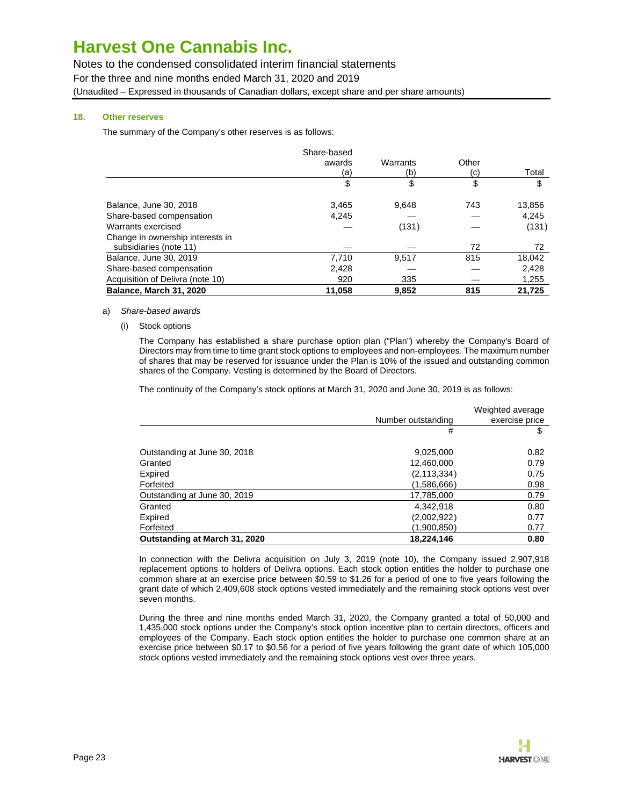Notes to the condensed consolidated interim financial statements

For the three and nine months ended March 31, 2020 and 2019

(Unaudited – Expressed in thousands of Canadian dollars, except share and per share amounts)

## **18. Other reserves**

The summary of the Company's other reserves is as follows:

|                                  | Share-based |          |       |        |
|----------------------------------|-------------|----------|-------|--------|
|                                  | awards      | Warrants | Other |        |
|                                  | (a)         | (b)      | (c)   | Total  |
|                                  | \$          | \$       | \$    | \$     |
| Balance, June 30, 2018           | 3,465       | 9.648    | 743   | 13,856 |
| Share-based compensation         | 4,245       |          |       | 4,245  |
| Warrants exercised               |             | (131)    |       | (131)  |
| Change in ownership interests in |             |          |       |        |
| subsidiaries (note 11)           |             |          | 72    | 72     |
| Balance, June 30, 2019           | 7,710       | 9,517    | 815   | 18,042 |
| Share-based compensation         | 2,428       |          |       | 2,428  |
| Acquisition of Delivra (note 10) | 920         | 335      |       | 1,255  |
| Balance, March 31, 2020          | 11,058      | 9,852    | 815   | 21,725 |

#### a) Share-based awards

(i) Stock options

The Company has established a share purchase option plan ("Plan") whereby the Company's Board of Directors may from time to time grant stock options to employees and non-employees. The maximum number of shares that may be reserved for issuance under the Plan is 10% of the issued and outstanding common shares of the Company. Vesting is determined by the Board of Directors.

The continuity of the Company's stock options at March 31, 2020 and June 30, 2019 is as follows:

|                               | Number outstanding | Weighted average<br>exercise price |
|-------------------------------|--------------------|------------------------------------|
|                               | #                  | \$                                 |
| Outstanding at June 30, 2018  | 9,025,000          | 0.82                               |
| Granted                       | 12,460,000         | 0.79                               |
| Expired                       | (2, 113, 334)      | 0.75                               |
| Forfeited                     | (1,586,666)        | 0.98                               |
| Outstanding at June 30, 2019  | 17,785,000         | 0.79                               |
| Granted                       | 4,342,918          | 0.80                               |
| Expired                       | (2,002,922)        | 0.77                               |
| Forfeited                     | (1,900,850)        | 0.77                               |
| Outstanding at March 31, 2020 | 18,224,146         | 0.80                               |

In connection with the Delivra acquisition on July 3, 2019 (note 10), the Company issued 2,907,918 replacement options to holders of Delivra options. Each stock option entitles the holder to purchase one common share at an exercise price between \$0.59 to \$1.26 for a period of one to five years following the grant date of which 2,409,608 stock options vested immediately and the remaining stock options vest over seven months.

During the three and nine months ended March 31, 2020, the Company granted a total of 50,000 and 1,435,000 stock options under the Company's stock option incentive plan to certain directors, officers and employees of the Company. Each stock option entitles the holder to purchase one common share at an exercise price between \$0.17 to \$0.56 for a period of five years following the grant date of which 105,000 stock options vested immediately and the remaining stock options vest over three years.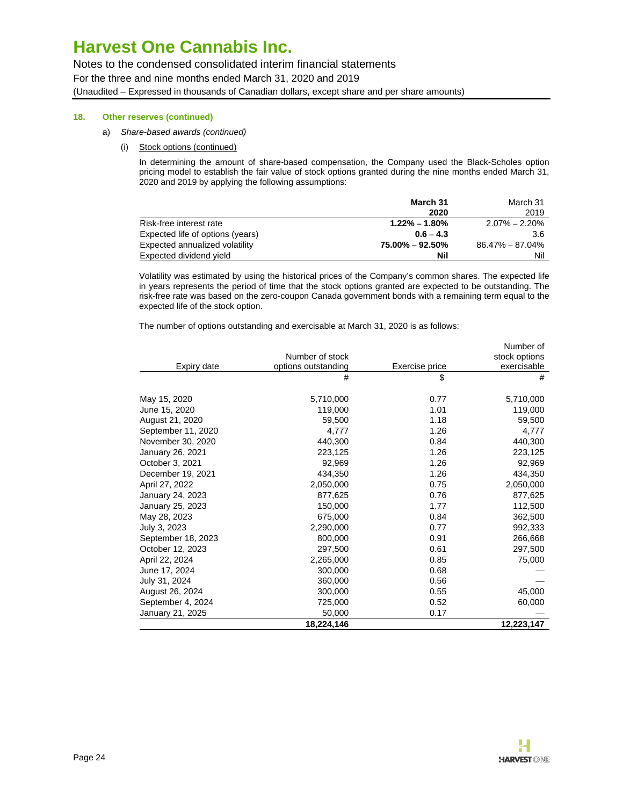Notes to the condensed consolidated interim financial statements For the three and nine months ended March 31, 2020 and 2019 (Unaudited – Expressed in thousands of Canadian dollars, except share and per share amounts)

### **18. Other reserves (continued)**

- a) Share-based awards (continued)
	- (i) Stock options (continued)

In determining the amount of share-based compensation, the Company used the Black-Scholes option pricing model to establish the fair value of stock options granted during the nine months ended March 31, 2020 and 2019 by applying the following assumptions:

|                                  | March 31            | March 31          |
|----------------------------------|---------------------|-------------------|
|                                  | 2020                | 2019              |
| Risk-free interest rate          | $1.22\% - 1.80\%$   | $2.07\% - 2.20\%$ |
| Expected life of options (years) | $0.6 - 4.3$         | 3.6               |
| Expected annualized volatility   | $75.00\% - 92.50\%$ | 86.47% – 87.04%   |
| Expected dividend yield          | Nil                 | Nil               |

Volatility was estimated by using the historical prices of the Company's common shares. The expected life in years represents the period of time that the stock options granted are expected to be outstanding. The risk-free rate was based on the zero-coupon Canada government bonds with a remaining term equal to the expected life of the stock option.

The number of options outstanding and exercisable at March 31, 2020 is as follows:

|                    |                     |                | Number of     |
|--------------------|---------------------|----------------|---------------|
|                    | Number of stock     |                | stock options |
| Expiry date        | options outstanding | Exercise price | exercisable   |
|                    | #                   | \$             | #             |
| May 15, 2020       | 5,710,000           | 0.77           | 5,710,000     |
| June 15, 2020      | 119,000             | 1.01           | 119,000       |
| August 21, 2020    | 59,500              | 1.18           | 59,500        |
| September 11, 2020 | 4,777               | 1.26           | 4,777         |
| November 30, 2020  | 440,300             | 0.84           | 440,300       |
| January 26, 2021   | 223,125             | 1.26           | 223,125       |
| October 3, 2021    | 92,969              | 1.26           | 92,969        |
| December 19, 2021  | 434,350             | 1.26           | 434,350       |
| April 27, 2022     | 2,050,000           | 0.75           | 2,050,000     |
| January 24, 2023   | 877,625             | 0.76           | 877,625       |
| January 25, 2023   | 150,000             | 1.77           | 112,500       |
| May 28, 2023       | 675,000             | 0.84           | 362,500       |
| July 3, 2023       | 2,290,000           | 0.77           | 992,333       |
| September 18, 2023 | 800,000             | 0.91           | 266,668       |
| October 12, 2023   | 297,500             | 0.61           | 297,500       |
| April 22, 2024     | 2,265,000           | 0.85           | 75,000        |
| June 17, 2024      | 300,000             | 0.68           |               |
| July 31, 2024      | 360,000             | 0.56           |               |
| August 26, 2024    | 300,000             | 0.55           | 45,000        |
| September 4, 2024  | 725,000             | 0.52           | 60,000        |
| January 21, 2025   | 50,000              | 0.17           |               |
|                    | 18,224,146          |                | 12,223,147    |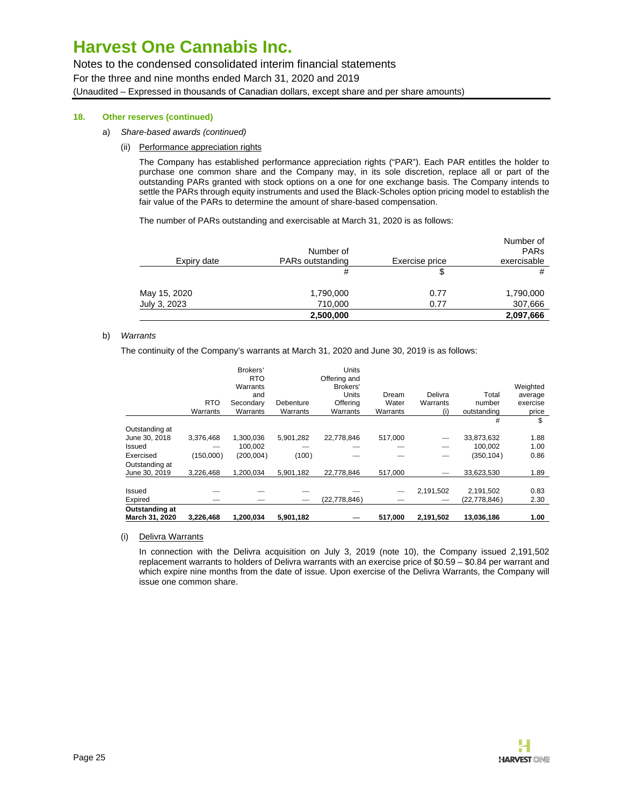Notes to the condensed consolidated interim financial statements For the three and nine months ended March 31, 2020 and 2019 (Unaudited – Expressed in thousands of Canadian dollars, except share and per share amounts)

### **18. Other reserves (continued)**

- a) Share-based awards (continued)
	- (ii) Performance appreciation rights

The Company has established performance appreciation rights ("PAR"). Each PAR entitles the holder to purchase one common share and the Company may, in its sole discretion, replace all or part of the outstanding PARs granted with stock options on a one for one exchange basis. The Company intends to settle the PARs through equity instruments and used the Black-Scholes option pricing model to establish the fair value of the PARs to determine the amount of share-based compensation.

The number of PARs outstanding and exercisable at March 31, 2020 is as follows:

|              |                  |                | Number of              |
|--------------|------------------|----------------|------------------------|
|              | Number of        |                | <b>PAR<sub>s</sub></b> |
| Expiry date  | PARs outstanding | Exercise price | exercisable            |
|              | #                | S              | #                      |
| May 15, 2020 | 1,790,000        | 0.77           | 1,790,000              |
| July 3, 2023 | 710,000          | 0.77           | 307,666                |
|              | 2,500,000        |                | 2,097,666              |

#### b) Warrants

The continuity of the Company's warrants at March 31, 2020 and June 30, 2019 is as follows:

|                                  |                        | Brokers'<br><b>RTO</b><br>Warrants |                       | <b>Units</b><br>Offering and<br>Brokers' |                   |                 |                       | Weighted          |
|----------------------------------|------------------------|------------------------------------|-----------------------|------------------------------------------|-------------------|-----------------|-----------------------|-------------------|
|                                  |                        | and                                |                       | <b>Units</b>                             | Dream             | Delivra         | Total                 | average           |
|                                  | <b>RTO</b><br>Warrants | Secondary<br>Warrants              | Debenture<br>Warrants | Offering<br>Warrants                     | Water<br>Warrants | Warrants<br>(i) | number<br>outstanding | exercise<br>price |
|                                  |                        |                                    |                       |                                          |                   |                 | #                     | \$                |
| Outstanding at                   |                        |                                    |                       |                                          |                   |                 |                       |                   |
| June 30, 2018                    | 3,376,468              | 1,300,036                          | 5,901,282             | 22.778.846                               | 517.000           |                 | 33,873,632            | 1.88              |
| Issued                           |                        | 100.002                            |                       |                                          |                   |                 | 100.002               | 1.00              |
| Exercised                        | (150,000)              | (200, 004)                         | (100)                 |                                          |                   |                 | (350, 104)            | 0.86              |
| Outstanding at                   |                        |                                    |                       |                                          |                   |                 |                       |                   |
| June 30, 2019                    | 3,226,468              | 1.200.034                          | 5,901,182             | 22.778.846                               | 517,000           |                 | 33,623,530            | 1.89              |
|                                  |                        |                                    |                       |                                          |                   |                 |                       |                   |
| Issued                           |                        |                                    |                       |                                          | -                 | 2,191,502       | 2,191,502             | 0.83              |
| Expired                          |                        |                                    |                       | (22, 778, 846)                           |                   |                 | (22, 778, 846)        | 2.30              |
| Outstanding at<br>March 31, 2020 | 3,226,468              | 1,200,034                          | 5,901,182             |                                          | 517,000           | 2,191,502       | 13,036,186            | 1.00              |

#### (i) Delivra Warrants

In connection with the Delivra acquisition on July 3, 2019 (note 10), the Company issued 2,191,502 replacement warrants to holders of Delivra warrants with an exercise price of \$0.59 – \$0.84 per warrant and which expire nine months from the date of issue. Upon exercise of the Delivra Warrants, the Company will issue one common share.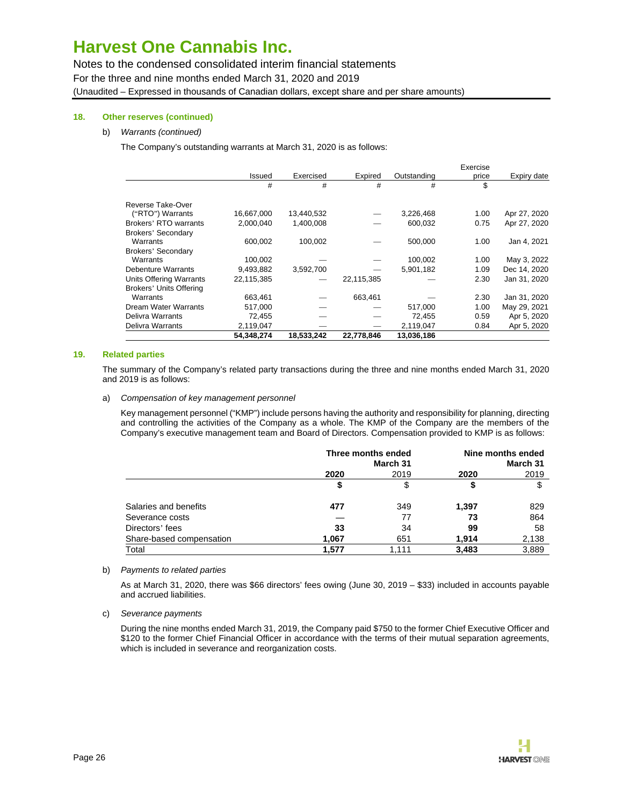Notes to the condensed consolidated interim financial statements For the three and nine months ended March 31, 2020 and 2019 (Unaudited – Expressed in thousands of Canadian dollars, except share and per share amounts)

### **18. Other reserves (continued)**

### b) Warrants (continued)

The Company's outstanding warrants at March 31, 2020 is as follows:

|                           |            |            |            |             | Exercise |              |
|---------------------------|------------|------------|------------|-------------|----------|--------------|
|                           | Issued     | Exercised  | Expired    | Outstanding | price    | Expiry date  |
|                           | #          | #          | #          | #           | \$       |              |
| Reverse Take-Over         |            |            |            |             |          |              |
| ("RTO") Warrants          | 16,667,000 | 13,440,532 |            | 3,226,468   | 1.00     | Apr 27, 2020 |
| Brokers' RTO warrants     | 2,000,040  | 1,400,008  |            | 600,032     | 0.75     | Apr 27, 2020 |
| <b>Brokers' Secondary</b> |            |            |            |             |          |              |
| Warrants                  | 600,002    | 100,002    |            | 500,000     | 1.00     | Jan 4, 2021  |
| <b>Brokers' Secondary</b> |            |            |            |             |          |              |
| Warrants                  | 100,002    |            |            | 100.002     | 1.00     | May 3, 2022  |
| <b>Debenture Warrants</b> | 9,493,882  | 3,592,700  |            | 5,901,182   | 1.09     | Dec 14, 2020 |
| Units Offering Warrants   | 22,115,385 |            | 22,115,385 |             | 2.30     | Jan 31, 2020 |
| Brokers' Units Offering   |            |            |            |             |          |              |
| Warrants                  | 663,461    |            | 663,461    |             | 2.30     | Jan 31, 2020 |
| Dream Water Warrants      | 517,000    |            |            | 517,000     | 1.00     | May 29, 2021 |
| Delivra Warrants          | 72,455     |            |            | 72,455      | 0.59     | Apr 5, 2020  |
| Delivra Warrants          | 2,119,047  |            |            | 2,119,047   | 0.84     | Apr 5, 2020  |
|                           | 54.348.274 | 18,533,242 | 22,778,846 | 13,036,186  |          |              |

#### **19. Related parties**

The summary of the Company's related party transactions during the three and nine months ended March 31, 2020 and 2019 is as follows:

a) Compensation of key management personnel

Key management personnel ("KMP") include persons having the authority and responsibility for planning, directing and controlling the activities of the Company as a whole. The KMP of the Company are the members of the Company's executive management team and Board of Directors. Compensation provided to KMP is as follows:

|                          | Three months ended<br>March 31 |       | Nine months ended<br>March 31 |       |  |
|--------------------------|--------------------------------|-------|-------------------------------|-------|--|
|                          | 2020                           | 2019  | 2020                          | 2019  |  |
|                          |                                | \$    |                               | \$    |  |
| Salaries and benefits    | 477                            | 349   | 1,397                         | 829   |  |
| Severance costs          |                                | 77    | 73                            | 864   |  |
| Directors' fees          | 33                             | 34    | 99                            | 58    |  |
| Share-based compensation | 1.067                          | 651   | 1.914                         | 2,138 |  |
| Total                    | 1,577                          | 1.111 | 3,483                         | 3,889 |  |

b) Payments to related parties

As at March 31, 2020, there was \$66 directors' fees owing (June 30, 2019 – \$33) included in accounts payable and accrued liabilities.

c) Severance payments

During the nine months ended March 31, 2019, the Company paid \$750 to the former Chief Executive Officer and \$120 to the former Chief Financial Officer in accordance with the terms of their mutual separation agreements, which is included in severance and reorganization costs.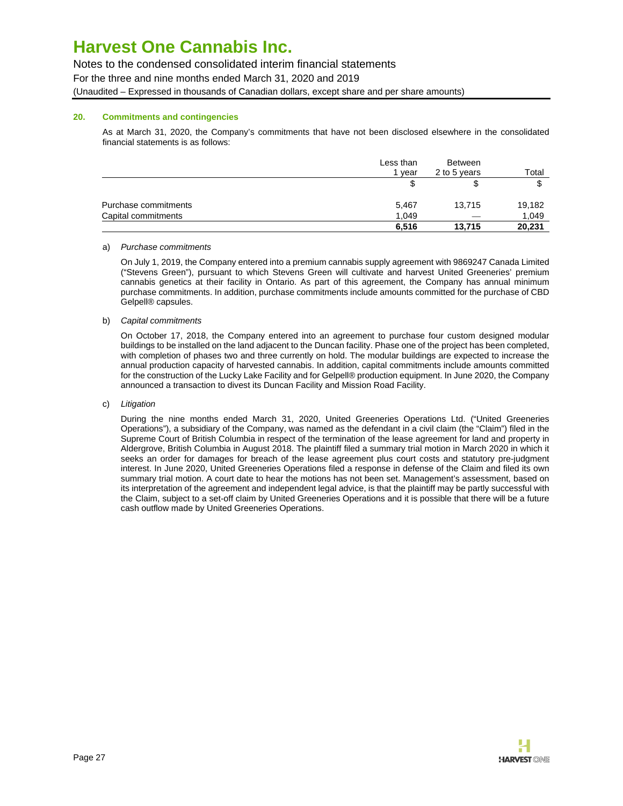# Notes to the condensed consolidated interim financial statements

For the three and nine months ended March 31, 2020 and 2019

(Unaudited – Expressed in thousands of Canadian dollars, except share and per share amounts)

### **20. Commitments and contingencies**

As at March 31, 2020, the Company's commitments that have not been disclosed elsewhere in the consolidated financial statements is as follows:

|                      | Less than<br>1 vear | Between<br>2 to 5 years  | Total  |
|----------------------|---------------------|--------------------------|--------|
|                      |                     | \$                       | σ<br>J |
| Purchase commitments | 5,467               | 13,715                   | 19,182 |
| Capital commitments  | 1.049               | $\overline{\phantom{a}}$ | 1,049  |
|                      | 6,516               | 13,715                   | 20,231 |

#### a) Purchase commitments

On July 1, 2019, the Company entered into a premium cannabis supply agreement with 9869247 Canada Limited ("Stevens Green"), pursuant to which Stevens Green will cultivate and harvest United Greeneries' premium cannabis genetics at their facility in Ontario. As part of this agreement, the Company has annual minimum purchase commitments. In addition, purchase commitments include amounts committed for the purchase of CBD Gelpell® capsules.

#### b) Capital commitments

On October 17, 2018, the Company entered into an agreement to purchase four custom designed modular buildings to be installed on the land adjacent to the Duncan facility. Phase one of the project has been completed, with completion of phases two and three currently on hold. The modular buildings are expected to increase the annual production capacity of harvested cannabis. In addition, capital commitments include amounts committed for the construction of the Lucky Lake Facility and for Gelpell® production equipment. In June 2020, the Company announced a transaction to divest its Duncan Facility and Mission Road Facility.

### c) Litigation

During the nine months ended March 31, 2020, United Greeneries Operations Ltd. ("United Greeneries Operations"), a subsidiary of the Company, was named as the defendant in a civil claim (the "Claim") filed in the Supreme Court of British Columbia in respect of the termination of the lease agreement for land and property in Aldergrove, British Columbia in August 2018. The plaintiff filed a summary trial motion in March 2020 in which it seeks an order for damages for breach of the lease agreement plus court costs and statutory pre-judgment interest. In June 2020, United Greeneries Operations filed a response in defense of the Claim and filed its own summary trial motion. A court date to hear the motions has not been set. Management's assessment, based on its interpretation of the agreement and independent legal advice, is that the plaintiff may be partly successful with the Claim, subject to a set-off claim by United Greeneries Operations and it is possible that there will be a future cash outflow made by United Greeneries Operations.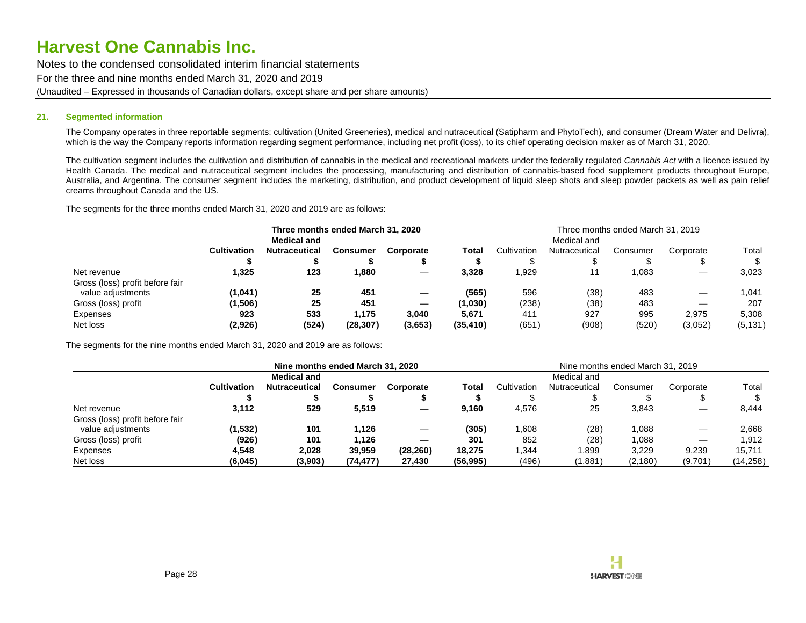Notes to the condensed consolidated interim financial statements For the three and nine months ended March 31, 2020 and 2019 (Unaudited – Expressed in thousands of Canadian dollars, except share and per share amounts)

#### **21. Segmented information**

The Company operates in three reportable segments: cultivation (United Greeneries), medical and nutraceutical (Satipharm and PhytoTech), and consumer (Dream Water and Delivra), which is the way the Company reports information regarding segment performance, including net profit (loss), to its chief operating decision maker as of March 31, 2020.

The cultivation segment includes the cultivation and distribution of cannabis in the medical and recreational markets under the federally regulated Cannabis Act with a licence issued by Health Canada. The medical and nutraceutical segment includes the processing, manufacturing and distribution of cannabis-based food supplement products throughout Europe, Australia, and Argentina. The consumer segment includes the marketing, distribution, and product development of liquid sleep shots and sleep powder packets as well as pain relief creams throughout Canada and the US.

The segments for the three months ended March 31, 2020 and 2019 are as follows:

|                                 | Three months ended March 31, 2020 |                      |           |                          | Three months ended March 31, 2019 |             |               |          |           |          |
|---------------------------------|-----------------------------------|----------------------|-----------|--------------------------|-----------------------------------|-------------|---------------|----------|-----------|----------|
|                                 | <b>Medical and</b>                |                      |           |                          |                                   | Medical and |               |          |           |          |
|                                 | <b>Cultivation</b>                | <b>Nutraceutical</b> | Consumer  | Corporate                | Total                             | Cultivation | Nutraceutical | Consumer | Corporate | Total    |
|                                 |                                   |                      |           |                          |                                   |             |               |          |           |          |
| Net revenue                     | 1,325                             | 123                  | 880, ا    |                          | 3,328                             | 1,929       |               | ,083     | $-$       | 3,023    |
| Gross (loss) profit before fair |                                   |                      |           |                          |                                   |             |               |          |           |          |
| value adjustments               | (1,041)                           | 25                   | 451       |                          | (565)                             | 596         | (38)          | 483      |           | 1.041    |
| Gross (loss) profit             | (1,506)                           | 25                   | 451       | $\overline{\phantom{m}}$ | (1,030)                           | (238)       | (38)          | 483      |           | 207      |
| Expenses                        | 923                               | 533                  | 1.175     | 3,040                    | 5.671                             | 411         | 927           | 995      | 2.975     | 5.308    |
| Net loss                        | (2,926)                           | (524)                | (28, 307) | (3,653)                  | (35, 410)                         | (651)       | (908)         | (520)    | (3,052)   | (5, 131) |

The segments for the nine months ended March 31, 2020 and 2019 are as follows:

|                                 | Nine months ended March 31, 2020 |                      |           |                                 |             | Nine months ended March 31, 2019 |               |          |           |           |
|---------------------------------|----------------------------------|----------------------|-----------|---------------------------------|-------------|----------------------------------|---------------|----------|-----------|-----------|
|                                 | <b>Medical and</b>               |                      |           |                                 | Medical and |                                  |               |          |           |           |
|                                 | <b>Cultivation</b>               | <b>Nutraceutical</b> | Consumer  | Corporate                       | Total       | Cultivation                      | Nutraceutical | Consumer | Corporate | Total     |
|                                 |                                  |                      |           |                                 |             |                                  |               |          |           |           |
| Net revenue                     | 3,112                            | 529                  | 5,519     |                                 | 9,160       | 4,576                            | 25            | 3,843    |           | 8,444     |
| Gross (loss) profit before fair |                                  |                      |           |                                 |             |                                  |               |          |           |           |
| value adjustments               | (1,532)                          | 101                  | 1.126     | $\hspace{0.1mm}-\hspace{0.1mm}$ | (305)       | 1,608                            | (28)          | 1,088    |           | 2,668     |
| Gross (loss) profit             | (926)                            | 101                  | 1.126     |                                 | 301         | 852                              | (28)          | 1,088    |           | 1,912     |
| Expenses                        | 4.548                            | 2,028                | 39.959    | (28, 260)                       | 18.275      | 1,344                            | .899          | 3,229    | 9.239     | 15.711    |
| Net loss                        | (6,045)                          | (3,903)              | (74, 477) | 27,430                          | (56, 995)   | (496)                            | (1,881)       | (2, 180) | (9,701)   | (14, 258) |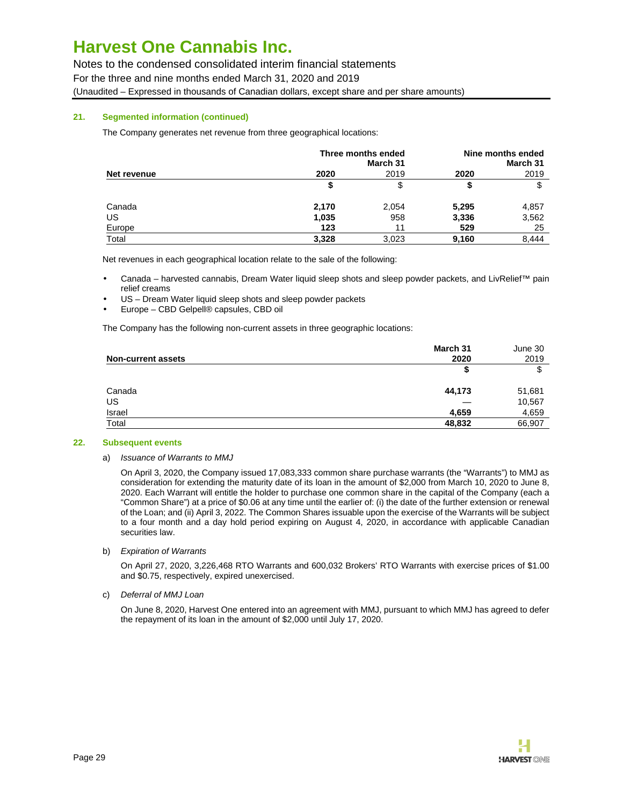Notes to the condensed consolidated interim financial statements

For the three and nine months ended March 31, 2020 and 2019

(Unaudited – Expressed in thousands of Canadian dollars, except share and per share amounts)

### **21. Segmented information (continued)**

The Company generates net revenue from three geographical locations:

|             | Three months ended | Nine months ended<br>March 31 |       |       |
|-------------|--------------------|-------------------------------|-------|-------|
| Net revenue | 2020               | 2019                          | 2020  | 2019  |
|             | S                  | \$                            |       | \$    |
| Canada      | 2,170              | 2,054                         | 5,295 | 4,857 |
| US          | 1,035              | 958                           | 3,336 | 3,562 |
| Europe      | 123                | 11                            | 529   | 25    |
| Total       | 3,328              | 3,023                         | 9,160 | 8,444 |

Net revenues in each geographical location relate to the sale of the following:

- Canada harvested cannabis, Dream Water liquid sleep shots and sleep powder packets, and LivRelief™ pain relief creams
- US Dream Water liquid sleep shots and sleep powder packets
- Europe CBD Gelpell® capsules, CBD oil

The Company has the following non-current assets in three geographic locations:

| <b>Non-current assets</b> | March 31<br>2020 | June 30<br>2019 |
|---------------------------|------------------|-----------------|
|                           | \$               | \$              |
| Canada                    | 44,173           | 51,681          |
| US                        |                  | 10,567          |
| Israel                    | 4,659            | 4,659           |
| Total                     | 48,832           | 66,907          |

### **22. Subsequent events**

### a) Issuance of Warrants to MMJ

On April 3, 2020, the Company issued 17,083,333 common share purchase warrants (the "Warrants") to MMJ as consideration for extending the maturity date of its loan in the amount of \$2,000 from March 10, 2020 to June 8, 2020. Each Warrant will entitle the holder to purchase one common share in the capital of the Company (each a "Common Share") at a price of \$0.06 at any time until the earlier of: (i) the date of the further extension or renewal of the Loan; and (ii) April 3, 2022. The Common Shares issuable upon the exercise of the Warrants will be subject to a four month and a day hold period expiring on August 4, 2020, in accordance with applicable Canadian securities law.

### b) Expiration of Warrants

On April 27, 2020, 3,226,468 RTO Warrants and 600,032 Brokers' RTO Warrants with exercise prices of \$1.00 and \$0.75, respectively, expired unexercised.

### c) Deferral of MMJ Loan

On June 8, 2020, Harvest One entered into an agreement with MMJ, pursuant to which MMJ has agreed to defer the repayment of its loan in the amount of \$2,000 until July 17, 2020.